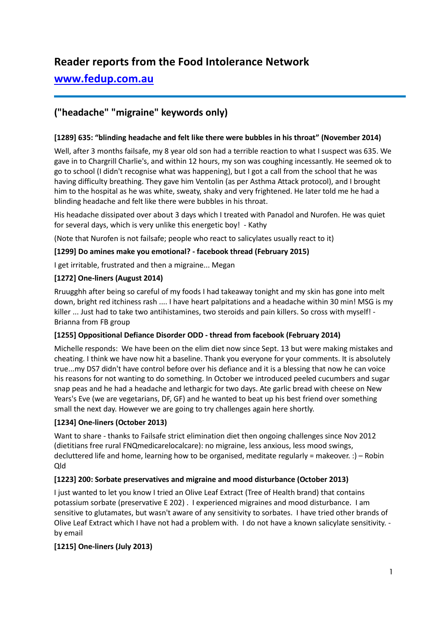# **Reader reports from the Food Intolerance Network**

# **[www.fedup.com.au](http://www.fedup.com.au/)**

# **("headache" "migraine" keywords only)**

## **[1289] 635: "blinding headache and felt like there were bubbles in his throat" (November 2014)**

Well, after 3 months failsafe, my 8 year old son had a terrible reaction to what I suspect was 635. We gave in to Chargrill Charlie's, and within 12 hours, my son was coughing incessantly. He seemed ok to go to school (I didn't recognise what was happening), but I got a call from the school that he was having difficulty breathing. They gave him Ventolin (as per Asthma Attack protocol), and I brought him to the hospital as he was white, sweaty, shaky and very frightened. He later told me he had a blinding headache and felt like there were bubbles in his throat.

His headache dissipated over about 3 days which I treated with Panadol and Nurofen. He was quiet for several days, which is very unlike this energetic boy! - Kathy

(Note that Nurofen is not failsafe; people who react to salicylates usually react to it)

#### **[1299] Do amines make you emotional? - facebook thread (February 2015)**

I get irritable, frustrated and then a migraine... Megan

## **[1272] One-liners (August 2014)**

Rruugghh after being so careful of my foods I had takeaway tonight and my skin has gone into melt down, bright red itchiness rash .... I have heart palpitations and a headache within 30 min! MSG is my killer ... Just had to take two antihistamines, two steroids and pain killers. So cross with myself! - Brianna from FB group

#### **[1255] Oppositional Defiance Disorder ODD - thread from facebook (February 2014)**

Michelle responds: We have been on the elim diet now since Sept. 13 but were making mistakes and cheating. I think we have now hit a baseline. Thank you everyone for your comments. It is absolutely true...my DS7 didn't have control before over his defiance and it is a blessing that now he can voice his reasons for not wanting to do something. In October we introduced peeled cucumbers and sugar snap peas and he had a headache and lethargic for two days. Ate garlic bread with cheese on New Years's Eve (we are vegetarians, DF, GF) and he wanted to beat up his best friend over something small the next day. However we are going to try challenges again here shortly.

# **[1234] One-liners (October 2013)**

Want to share - thanks to Failsafe strict elimination diet then ongoing challenges since Nov 2012 (dietitians free rural FNQmedicarelocalcare): no migraine, less anxious, less mood swings, decluttered life and home, learning how to be organised, meditate regularly = makeover. :) – Robin Qld

#### **[1223] 200: Sorbate preservatives and migraine and mood disturbance (October 2013)**

I just wanted to let you know I tried an Olive Leaf Extract (Tree of Health brand) that contains potassium sorbate (preservative E 202) . I experienced migraines and mood disturbance. I am sensitive to glutamates, but wasn't aware of any sensitivity to sorbates. I have tried other brands of Olive Leaf Extract which I have not had a problem with. I do not have a known salicylate sensitivity. by email

# **[1215] One-liners (July 2013)**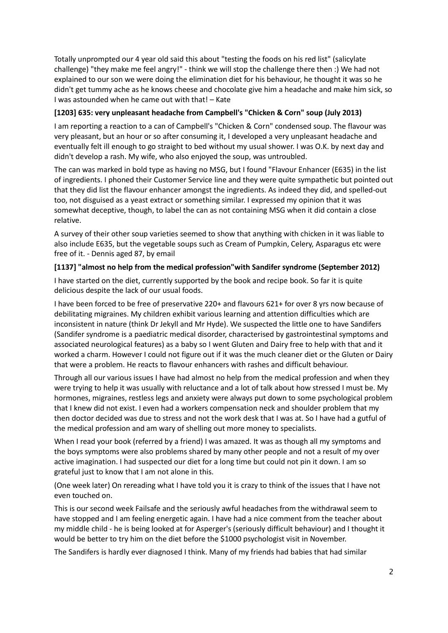Totally unprompted our 4 year old said this about "testing the foods on his red list" (salicylate challenge) "they make me feel angry!" - think we will stop the challenge there then :) We had not explained to our son we were doing the elimination diet for his behaviour, he thought it was so he didn't get tummy ache as he knows cheese and chocolate give him a headache and make him sick, so I was astounded when he came out with that! – Kate

#### **[1203] 635: very unpleasant headache from Campbell's "Chicken & Corn" soup (July 2013)**

I am reporting a reaction to a can of Campbell's "Chicken & Corn" condensed soup. The flavour was very pleasant, but an hour or so after consuming it, I developed a very unpleasant headache and eventually felt ill enough to go straight to bed without my usual shower. I was O.K. by next day and didn't develop a rash. My wife, who also enjoyed the soup, was untroubled.

The can was marked in bold type as having no MSG, but I found "Flavour Enhancer (E635) in the list of ingredients. I phoned their Customer Service line and they were quite sympathetic but pointed out that they did list the flavour enhancer amongst the ingredients. As indeed they did, and spelled-out too, not disguised as a yeast extract or something similar. I expressed my opinion that it was somewhat deceptive, though, to label the can as not containing MSG when it did contain a close relative.

A survey of their other soup varieties seemed to show that anything with chicken in it was liable to also include E635, but the vegetable soups such as Cream of Pumpkin, Celery, Asparagus etc were free of it. - Dennis aged 87, by email

#### **[1137] "almost no help from the medical profession"with Sandifer syndrome (September 2012)**

I have started on the diet, currently supported by the book and recipe book. So far it is quite delicious despite the lack of our usual foods.

I have been forced to be free of preservative 220+ and flavours 621+ for over 8 yrs now because of debilitating migraines. My children exhibit various learning and attention difficulties which are inconsistent in nature (think Dr Jekyll and Mr Hyde). We suspected the little one to have Sandifers (Sandifer syndrome is a paediatric medical disorder, characterised by gastrointestinal symptoms and associated neurological features) as a baby so I went Gluten and Dairy free to help with that and it worked a charm. However I could not figure out if it was the much cleaner diet or the Gluten or Dairy that were a problem. He reacts to flavour enhancers with rashes and difficult behaviour.

Through all our various issues I have had almost no help from the medical profession and when they were trying to help it was usually with reluctance and a lot of talk about how stressed I must be. My hormones, migraines, restless legs and anxiety were always put down to some psychological problem that I knew did not exist. I even had a workers compensation neck and shoulder problem that my then doctor decided was due to stress and not the work desk that I was at. So I have had a gutful of the medical profession and am wary of shelling out more money to specialists.

When I read your book (referred by a friend) I was amazed. It was as though all my symptoms and the boys symptoms were also problems shared by many other people and not a result of my over active imagination. I had suspected our diet for a long time but could not pin it down. I am so grateful just to know that I am not alone in this.

(One week later) On rereading what I have told you it is crazy to think of the issues that I have not even touched on.

This is our second week Failsafe and the seriously awful headaches from the withdrawal seem to have stopped and I am feeling energetic again. I have had a nice comment from the teacher about my middle child - he is being looked at for Asperger's (seriously difficult behaviour) and I thought it would be better to try him on the diet before the \$1000 psychologist visit in November.

The Sandifers is hardly ever diagnosed I think. Many of my friends had babies that had similar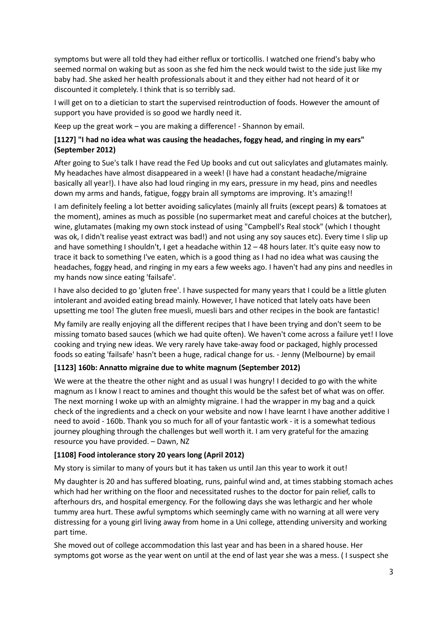symptoms but were all told they had either reflux or torticollis. I watched one friend's baby who seemed normal on waking but as soon as she fed him the neck would twist to the side just like my baby had. She asked her health professionals about it and they either had not heard of it or discounted it completely. I think that is so terribly sad.

I will get on to a dietician to start the supervised reintroduction of foods. However the amount of support you have provided is so good we hardly need it.

Keep up the great work – you are making a difference! - Shannon by email.

## **[1127] "I had no idea what was causing the headaches, foggy head, and ringing in my ears" (September 2012)**

After going to Sue's talk I have read the Fed Up books and cut out salicylates and glutamates mainly. My headaches have almost disappeared in a week! (I have had a constant headache/migraine basically all year!). I have also had loud ringing in my ears, pressure in my head, pins and needles down my arms and hands, fatigue, foggy brain all symptoms are improving. It's amazing!!

I am definitely feeling a lot better avoiding salicylates (mainly all fruits (except pears) & tomatoes at the moment), amines as much as possible (no supermarket meat and careful choices at the butcher), wine, glutamates (making my own stock instead of using "Campbell's Real stock" (which I thought was ok, I didn't realise yeast extract was bad!) and not using any soy sauces etc). Every time I slip up and have something I shouldn't, I get a headache within 12 – 48 hours later. It's quite easy now to trace it back to something I've eaten, which is a good thing as I had no idea what was causing the headaches, foggy head, and ringing in my ears a few weeks ago. I haven't had any pins and needles in my hands now since eating 'failsafe'.

I have also decided to go 'gluten free'. I have suspected for many years that I could be a little gluten intolerant and avoided eating bread mainly. However, I have noticed that lately oats have been upsetting me too! The gluten free muesli, muesli bars and other recipes in the book are fantastic!

My family are really enjoying all the different recipes that I have been trying and don't seem to be missing tomato based sauces (which we had quite often). We haven't come across a failure yet! I love cooking and trying new ideas. We very rarely have take-away food or packaged, highly processed foods so eating 'failsafe' hasn't been a huge, radical change for us. - Jenny (Melbourne) by email

#### **[1123] 160b: Annatto migraine due to white magnum (September 2012)**

We were at the theatre the other night and as usual I was hungry! I decided to go with the white magnum as I know I react to amines and thought this would be the safest bet of what was on offer. The next morning I woke up with an almighty migraine. I had the wrapper in my bag and a quick check of the ingredients and a check on your website and now I have learnt I have another additive I need to avoid - 160b. Thank you so much for all of your fantastic work - it is a somewhat tedious journey ploughing through the challenges but well worth it. I am very grateful for the amazing resource you have provided. – Dawn, NZ

#### **[1108] Food intolerance story 20 years long (April 2012)**

My story is similar to many of yours but it has taken us until Jan this year to work it out!

My daughter is 20 and has suffered bloating, runs, painful wind and, at times stabbing stomach aches which had her writhing on the floor and necessitated rushes to the doctor for pain relief, calls to afterhours drs, and hospital emergency. For the following days she was lethargic and her whole tummy area hurt. These awful symptoms which seemingly came with no warning at all were very distressing for a young girl living away from home in a Uni college, attending university and working part time.

She moved out of college accommodation this last year and has been in a shared house. Her symptoms got worse as the year went on until at the end of last year she was a mess. ( I suspect she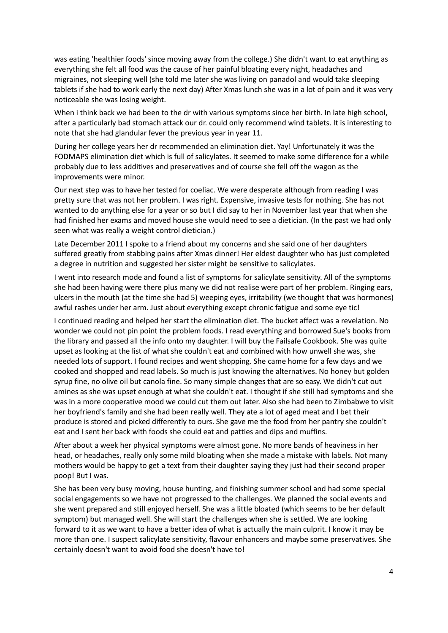was eating 'healthier foods' since moving away from the college.) She didn't want to eat anything as everything she felt all food was the cause of her painful bloating every night, headaches and migraines, not sleeping well (she told me later she was living on panadol and would take sleeping tablets if she had to work early the next day) After Xmas lunch she was in a lot of pain and it was very noticeable she was losing weight.

When i think back we had been to the dr with various symptoms since her birth. In late high school, after a particularly bad stomach attack our dr. could only recommend wind tablets. It is interesting to note that she had glandular fever the previous year in year 11.

During her college years her dr recommended an elimination diet. Yay! Unfortunately it was the FODMAPS elimination diet which is full of salicylates. It seemed to make some difference for a while probably due to less additives and preservatives and of course she fell off the wagon as the improvements were minor.

Our next step was to have her tested for coeliac. We were desperate although from reading I was pretty sure that was not her problem. I was right. Expensive, invasive tests for nothing. She has not wanted to do anything else for a year or so but I did say to her in November last year that when she had finished her exams and moved house she would need to see a dietician. (In the past we had only seen what was really a weight control dietician.)

Late December 2011 I spoke to a friend about my concerns and she said one of her daughters suffered greatly from stabbing pains after Xmas dinner! Her eldest daughter who has just completed a degree in nutrition and suggested her sister might be sensitive to salicylates.

I went into research mode and found a list of symptoms for salicylate sensitivity. All of the symptoms she had been having were there plus many we did not realise were part of her problem. Ringing ears, ulcers in the mouth (at the time she had 5) weeping eyes, irritability (we thought that was hormones) awful rashes under her arm. Just about everything except chronic fatigue and some eye tic!

I continued reading and helped her start the elimination diet. The bucket affect was a revelation. No wonder we could not pin point the problem foods. I read everything and borrowed Sue's books from the library and passed all the info onto my daughter. I will buy the Failsafe Cookbook. She was quite upset as looking at the list of what she couldn't eat and combined with how unwell she was, she needed lots of support. I found recipes and went shopping. She came home for a few days and we cooked and shopped and read labels. So much is just knowing the alternatives. No honey but golden syrup fine, no olive oil but canola fine. So many simple changes that are so easy. We didn't cut out amines as she was upset enough at what she couldn't eat. I thought if she still had symptoms and she was in a more cooperative mood we could cut them out later. Also she had been to Zimbabwe to visit her boyfriend's family and she had been really well. They ate a lot of aged meat and I bet their produce is stored and picked differently to ours. She gave me the food from her pantry she couldn't eat and I sent her back with foods she could eat and patties and dips and muffins.

After about a week her physical symptoms were almost gone. No more bands of heaviness in her head, or headaches, really only some mild bloating when she made a mistake with labels. Not many mothers would be happy to get a text from their daughter saying they just had their second proper poop! But I was.

She has been very busy moving, house hunting, and finishing summer school and had some special social engagements so we have not progressed to the challenges. We planned the social events and she went prepared and still enjoyed herself. She was a little bloated (which seems to be her default symptom) but managed well. She will start the challenges when she is settled. We are looking forward to it as we want to have a better idea of what is actually the main culprit. I know it may be more than one. I suspect salicylate sensitivity, flavour enhancers and maybe some preservatives. She certainly doesn't want to avoid food she doesn't have to!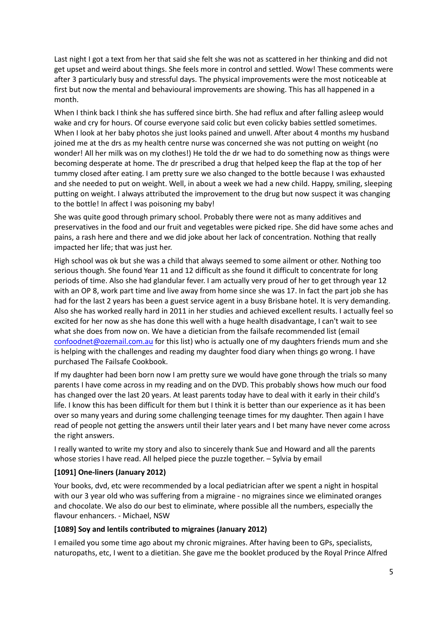Last night I got a text from her that said she felt she was not as scattered in her thinking and did not get upset and weird about things. She feels more in control and settled. Wow! These comments were after 3 particularly busy and stressful days. The physical improvements were the most noticeable at first but now the mental and behavioural improvements are showing. This has all happened in a month.

When I think back I think she has suffered since birth. She had reflux and after falling asleep would wake and cry for hours. Of course everyone said colic but even colicky babies settled sometimes. When I look at her baby photos she just looks pained and unwell. After about 4 months my husband joined me at the drs as my health centre nurse was concerned she was not putting on weight (no wonder! All her milk was on my clothes!) He told the dr we had to do something now as things were becoming desperate at home. The dr prescribed a drug that helped keep the flap at the top of her tummy closed after eating. I am pretty sure we also changed to the bottle because I was exhausted and she needed to put on weight. Well, in about a week we had a new child. Happy, smiling, sleeping putting on weight. I always attributed the improvement to the drug but now suspect it was changing to the bottle! In affect I was poisoning my baby!

She was quite good through primary school. Probably there were not as many additives and preservatives in the food and our fruit and vegetables were picked ripe. She did have some aches and pains, a rash here and there and we did joke about her lack of concentration. Nothing that really impacted her life; that was just her.

High school was ok but she was a child that always seemed to some ailment or other. Nothing too serious though. She found Year 11 and 12 difficult as she found it difficult to concentrate for long periods of time. Also she had glandular fever. I am actually very proud of her to get through year 12 with an OP 8, work part time and live away from home since she was 17. In fact the part job she has had for the last 2 years has been a guest service agent in a busy Brisbane hotel. It is very demanding. Also she has worked really hard in 2011 in her studies and achieved excellent results. I actually feel so excited for her now as she has done this well with a huge health disadvantage, I can't wait to see what she does from now on. We have a dietician from the failsafe recommended list (email [confoodnet@ozemail.com.au](mailto:confoodnet@ozemail.com.au) for this list) who is actually one of my daughters friends mum and she is helping with the challenges and reading my daughter food diary when things go wrong. I have purchased The Failsafe Cookbook.

If my daughter had been born now I am pretty sure we would have gone through the trials so many parents I have come across in my reading and on the DVD. This probably shows how much our food has changed over the last 20 years. At least parents today have to deal with it early in their child's life. I know this has been difficult for them but I think it is better than our experience as it has been over so many years and during some challenging teenage times for my daughter. Then again I have read of people not getting the answers until their later years and I bet many have never come across the right answers.

I really wanted to write my story and also to sincerely thank Sue and Howard and all the parents whose stories I have read. All helped piece the puzzle together. – Sylvia by email

#### **[1091] One-liners (January 2012)**

Your books, dvd, etc were recommended by a local pediatrician after we spent a night in hospital with our 3 year old who was suffering from a migraine - no migraines since we eliminated oranges and chocolate. We also do our best to eliminate, where possible all the numbers, especially the flavour enhancers. - Michael, NSW

#### **[1089] Soy and lentils contributed to migraines (January 2012)**

I emailed you some time ago about my chronic migraines. After having been to GPs, specialists, naturopaths, etc, I went to a dietitian. She gave me the booklet produced by the Royal Prince Alfred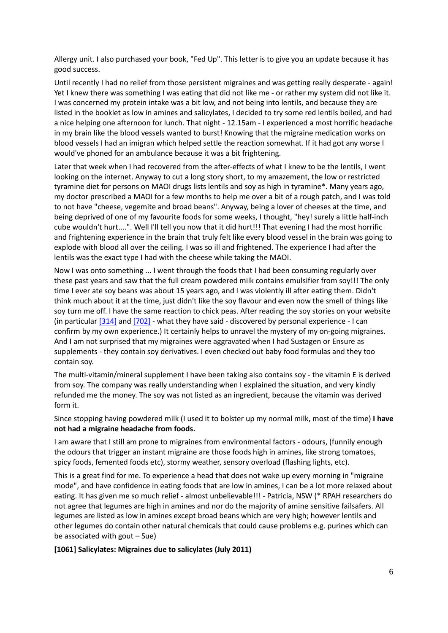Allergy unit. I also purchased your book, "Fed Up". This letter is to give you an update because it has good success.

Until recently I had no relief from those persistent migraines and was getting really desperate - again! Yet I knew there was something I was eating that did not like me - or rather my system did not like it. I was concerned my protein intake was a bit low, and not being into lentils, and because they are listed in the booklet as low in amines and salicylates, I decided to try some red lentils boiled, and had a nice helping one afternoon for lunch. That night - 12.15am - I experienced a most horrific headache in my brain like the blood vessels wanted to burst! Knowing that the migraine medication works on blood vessels I had an imigran which helped settle the reaction somewhat. If it had got any worse I would've phoned for an ambulance because it was a bit frightening.

Later that week when I had recovered from the after-effects of what I knew to be the lentils, I went looking on the internet. Anyway to cut a long story short, to my amazement, the low or restricted tyramine diet for persons on MAOI drugs lists lentils and soy as high in tyramine\*. Many years ago, my doctor prescribed a MAOI for a few months to help me over a bit of a rough patch, and I was told to not have "cheese, vegemite and broad beans". Anyway, being a lover of cheeses at the time, and being deprived of one of my favourite foods for some weeks, I thought, "hey! surely a little half-inch cube wouldn't hurt....". Well I'll tell you now that it did hurt!!! That evening I had the most horrific and frightening experience in the brain that truly felt like every blood vessel in the brain was going to explode with blood all over the ceiling. I was so ill and frightened. The experience I had after the lentils was the exact type I had with the cheese while taking the MAOI.

Now I was onto something ... I went through the foods that I had been consuming regularly over these past years and saw that the full cream powdered milk contains emulsifier from soy!!! The only time I ever ate soy beans was about 15 years ago, and I was violently ill after eating them. Didn't think much about it at the time, just didn't like the soy flavour and even now the smell of things like soy turn me off. I have the same reaction to chick peas. After reading the soy stories on your website (in particula[r \[314\]](http://fedup.com.au/stories/2004/314-13-years-of-intolerance-to-soy-april-2004) and [\[702\]](http://fedup.com.au/stories/2008/702-diet-not-working-100-per-cent-another-soy-intolerance-story-november-2008) - what they have said - discovered by personal experience - I can confirm by my own experience.) It certainly helps to unravel the mystery of my on-going migraines. And I am not surprised that my migraines were aggravated when I had Sustagen or Ensure as supplements - they contain soy derivatives. I even checked out baby food formulas and they too contain soy.

The multi-vitamin/mineral supplement I have been taking also contains soy - the vitamin E is derived from soy. The company was really understanding when I explained the situation, and very kindly refunded me the money. The soy was not listed as an ingredient, because the vitamin was derived form it.

Since stopping having powdered milk (I used it to bolster up my normal milk, most of the time) **I have not had a migraine headache from foods.**

I am aware that I still am prone to migraines from environmental factors - odours, (funnily enough the odours that trigger an instant migraine are those foods high in amines, like strong tomatoes, spicy foods, femented foods etc), stormy weather, sensory overload (flashing lights, etc).

This is a great find for me. To experience a head that does not wake up every morning in "migraine mode", and have confidence in eating foods that are low in amines, I can be a lot more relaxed about eating. It has given me so much relief - almost unbelievable!!! - Patricia, NSW (\* RPAH researchers do not agree that legumes are high in amines and nor do the majority of amine sensitive failsafers. All legumes are listed as low in amines except broad beans which are very high; however lentils and other legumes do contain other natural chemicals that could cause problems e.g. purines which can be associated with gout – Sue)

**[1061] Salicylates: Migraines due to salicylates (July 2011)**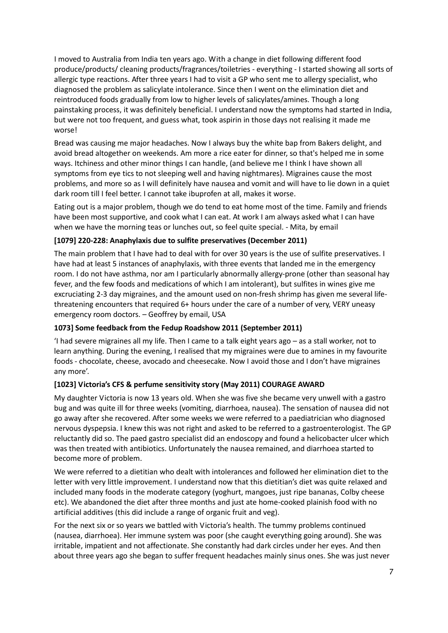I moved to Australia from India ten years ago. With a change in diet following different food produce/products/ cleaning products/fragrances/toiletries - everything - I started showing all sorts of allergic type reactions. After three years I had to visit a GP who sent me to allergy specialist, who diagnosed the problem as salicylate intolerance. Since then I went on the elimination diet and reintroduced foods gradually from low to higher levels of salicylates/amines. Though a long painstaking process, it was definitely beneficial. I understand now the symptoms had started in India, but were not too frequent, and guess what, took aspirin in those days not realising it made me worse!

Bread was causing me major headaches. Now I always buy the white bap from Bakers delight, and avoid bread altogether on weekends. Am more a rice eater for dinner, so that's helped me in some ways. Itchiness and other minor things I can handle, (and believe me I think I have shown all symptoms from eye tics to not sleeping well and having nightmares). Migraines cause the most problems, and more so as I will definitely have nausea and vomit and will have to lie down in a quiet dark room till I feel better. I cannot take ibuprofen at all, makes it worse.

Eating out is a major problem, though we do tend to eat home most of the time. Family and friends have been most supportive, and cook what I can eat. At work I am always asked what I can have when we have the morning teas or lunches out, so feel quite special. - Mita, by email

## **[1079] 220-228: Anaphylaxis due to sulfite preservatives (December 2011)**

The main problem that I have had to deal with for over 30 years is the use of sulfite preservatives. I have had at least 5 instances of anaphylaxis, with three events that landed me in the emergency room. I do not have asthma, nor am I particularly abnormally allergy-prone (other than seasonal hay fever, and the few foods and medications of which I am intolerant), but sulfites in wines give me excruciating 2-3 day migraines, and the amount used on non-fresh shrimp has given me several lifethreatening encounters that required 6+ hours under the care of a number of very, VERY uneasy emergency room doctors. – Geoffrey by email, USA

#### **1073] Some feedback from the Fedup Roadshow 2011 (September 2011)**

'I had severe migraines all my life. Then I came to a talk eight years ago – as a stall worker, not to learn anything. During the evening, I realised that my migraines were due to amines in my favourite foods - chocolate, cheese, avocado and cheesecake. Now I avoid those and I don't have migraines any more'.

#### **[1023] Victoria's CFS & perfume sensitivity story (May 2011) COURAGE AWARD**

My daughter Victoria is now 13 years old. When she was five she became very unwell with a gastro bug and was quite ill for three weeks (vomiting, diarrhoea, nausea). The sensation of nausea did not go away after she recovered. After some weeks we were referred to a paediatrician who diagnosed nervous dyspepsia. I knew this was not right and asked to be referred to a gastroenterologist. The GP reluctantly did so. The paed gastro specialist did an endoscopy and found a helicobacter ulcer which was then treated with antibiotics. Unfortunately the nausea remained, and diarrhoea started to become more of problem.

We were referred to a dietitian who dealt with intolerances and followed her elimination diet to the letter with very little improvement. I understand now that this dietitian's diet was quite relaxed and included many foods in the moderate category (yoghurt, mangoes, just ripe bananas, Colby cheese etc). We abandoned the diet after three months and just ate home-cooked plainish food with no artificial additives (this did include a range of organic fruit and veg).

For the next six or so years we battled with Victoria's health. The tummy problems continued (nausea, diarrhoea). Her immune system was poor (she caught everything going around). She was irritable, impatient and not affectionate. She constantly had dark circles under her eyes. And then about three years ago she began to suffer frequent headaches mainly sinus ones. She was just never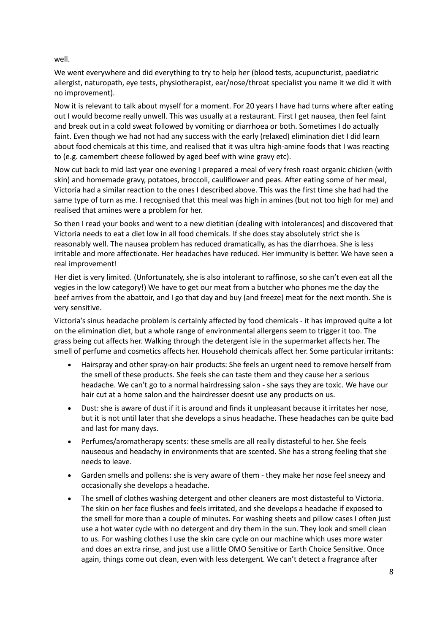well.

We went everywhere and did everything to try to help her (blood tests, acupuncturist, paediatric allergist, naturopath, eye tests, physiotherapist, ear/nose/throat specialist you name it we did it with no improvement).

Now it is relevant to talk about myself for a moment. For 20 years I have had turns where after eating out I would become really unwell. This was usually at a restaurant. First I get nausea, then feel faint and break out in a cold sweat followed by vomiting or diarrhoea or both. Sometimes I do actually faint. Even though we had not had any success with the early (relaxed) elimination diet I did learn about food chemicals at this time, and realised that it was ultra high-amine foods that I was reacting to (e.g. camembert cheese followed by aged beef with wine gravy etc).

Now cut back to mid last year one evening I prepared a meal of very fresh roast organic chicken (with skin) and homemade gravy, potatoes, broccoli, cauliflower and peas. After eating some of her meal, Victoria had a similar reaction to the ones I described above. This was the first time she had had the same type of turn as me. I recognised that this meal was high in amines (but not too high for me) and realised that amines were a problem for her.

So then I read your books and went to a new dietitian (dealing with intolerances) and discovered that Victoria needs to eat a diet low in all food chemicals. If she does stay absolutely strict she is reasonably well. The nausea problem has reduced dramatically, as has the diarrhoea. She is less irritable and more affectionate. Her headaches have reduced. Her immunity is better. We have seen a real improvement!

Her diet is very limited. (Unfortunately, she is also intolerant to raffinose, so she can't even eat all the vegies in the low category!) We have to get our meat from a butcher who phones me the day the beef arrives from the abattoir, and I go that day and buy (and freeze) meat for the next month. She is very sensitive.

Victoria's sinus headache problem is certainly affected by food chemicals - it has improved quite a lot on the elimination diet, but a whole range of environmental allergens seem to trigger it too. The grass being cut affects her. Walking through the detergent isle in the supermarket affects her. The smell of perfume and cosmetics affects her. Household chemicals affect her. Some particular irritants:

- Hairspray and other spray-on hair products: She feels an urgent need to remove herself from the smell of these products. She feels she can taste them and they cause her a serious headache. We can't go to a normal hairdressing salon - she says they are toxic. We have our hair cut at a home salon and the hairdresser doesnt use any products on us.
- Dust: she is aware of dust if it is around and finds it unpleasant because it irritates her nose, but it is not until later that she develops a sinus headache. These headaches can be quite bad and last for many days.
- Perfumes/aromatherapy scents: these smells are all really distasteful to her. She feels nauseous and headachy in environments that are scented. She has a strong feeling that she needs to leave.
- Garden smells and pollens: she is very aware of them they make her nose feel sneezy and occasionally she develops a headache.
- The smell of clothes washing detergent and other cleaners are most distasteful to Victoria. The skin on her face flushes and feels irritated, and she develops a headache if exposed to the smell for more than a couple of minutes. For washing sheets and pillow cases I often just use a hot water cycle with no detergent and dry them in the sun. They look and smell clean to us. For washing clothes I use the skin care cycle on our machine which uses more water and does an extra rinse, and just use a little OMO Sensitive or Earth Choice Sensitive. Once again, things come out clean, even with less detergent. We can't detect a fragrance after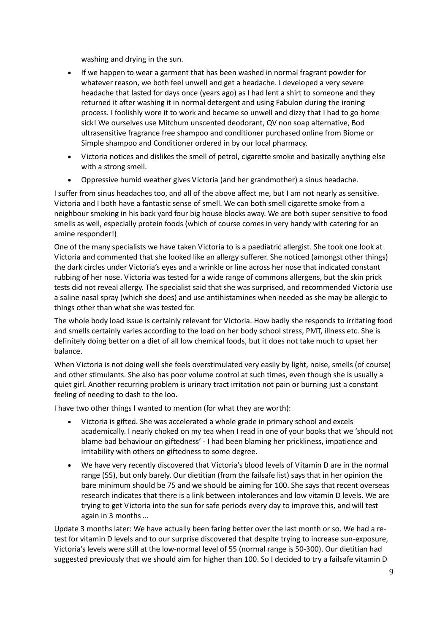washing and drying in the sun.

- If we happen to wear a garment that has been washed in normal fragrant powder for whatever reason, we both feel unwell and get a headache. I developed a very severe headache that lasted for days once (years ago) as I had lent a shirt to someone and they returned it after washing it in normal detergent and using Fabulon during the ironing process. I foolishly wore it to work and became so unwell and dizzy that I had to go home sick! We ourselves use Mitchum unscented deodorant, QV non soap alternative, Bod ultrasensitive fragrance free shampoo and conditioner purchased online from Biome or Simple shampoo and Conditioner ordered in by our local pharmacy.
- Victoria notices and dislikes the smell of petrol, cigarette smoke and basically anything else with a strong smell.
- Oppressive humid weather gives Victoria (and her grandmother) a sinus headache.

I suffer from sinus headaches too, and all of the above affect me, but I am not nearly as sensitive. Victoria and I both have a fantastic sense of smell. We can both smell cigarette smoke from a neighbour smoking in his back yard four big house blocks away. We are both super sensitive to food smells as well, especially protein foods (which of course comes in very handy with catering for an amine responder!)

One of the many specialists we have taken Victoria to is a paediatric allergist. She took one look at Victoria and commented that she looked like an allergy sufferer. She noticed (amongst other things) the dark circles under Victoria's eyes and a wrinkle or line across her nose that indicated constant rubbing of her nose. Victoria was tested for a wide range of commons allergens, but the skin prick tests did not reveal allergy. The specialist said that she was surprised, and recommended Victoria use a saline nasal spray (which she does) and use antihistamines when needed as she may be allergic to things other than what she was tested for.

The whole body load issue is certainly relevant for Victoria. How badly she responds to irritating food and smells certainly varies according to the load on her body school stress, PMT, illness etc. She is definitely doing better on a diet of all low chemical foods, but it does not take much to upset her balance.

When Victoria is not doing well she feels overstimulated very easily by light, noise, smells (of course) and other stimulants. She also has poor volume control at such times, even though she is usually a quiet girl. Another recurring problem is urinary tract irritation not pain or burning just a constant feeling of needing to dash to the loo.

I have two other things I wanted to mention (for what they are worth):

- Victoria is gifted. She was accelerated a whole grade in primary school and excels academically. I nearly choked on my tea when I read in one of your books that we 'should not blame bad behaviour on giftedness' - I had been blaming her prickliness, impatience and irritability with others on giftedness to some degree.
- We have very recently discovered that Victoria's blood levels of Vitamin D are in the normal range (55), but only barely. Our dietitian (from the failsafe list) says that in her opinion the bare minimum should be 75 and we should be aiming for 100. She says that recent overseas research indicates that there is a link between intolerances and low vitamin D levels. We are trying to get Victoria into the sun for safe periods every day to improve this, and will test again in 3 months …

Update 3 months later: We have actually been faring better over the last month or so. We had a retest for vitamin D levels and to our surprise discovered that despite trying to increase sun-exposure, Victoria's levels were still at the low-normal level of 55 (normal range is 50-300). Our dietitian had suggested previously that we should aim for higher than 100. So I decided to try a failsafe vitamin D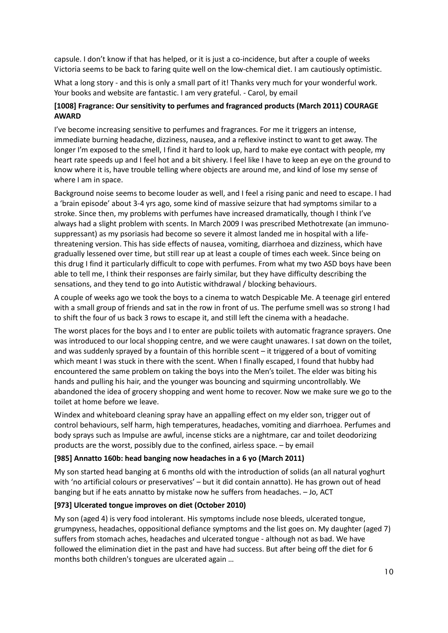capsule. I don't know if that has helped, or it is just a co-incidence, but after a couple of weeks Victoria seems to be back to faring quite well on the low-chemical diet. I am cautiously optimistic.

What a long story - and this is only a small part of it! Thanks very much for your wonderful work. Your books and website are fantastic. I am very grateful. - Carol, by email

#### **[1008] Fragrance: Our sensitivity to perfumes and fragranced products (March 2011) COURAGE AWARD**

I've become increasing sensitive to perfumes and fragrances. For me it triggers an intense, immediate burning headache, dizziness, nausea, and a reflexive instinct to want to get away. The longer I'm exposed to the smell, I find it hard to look up, hard to make eye contact with people, my heart rate speeds up and I feel hot and a bit shivery. I feel like I have to keep an eye on the ground to know where it is, have trouble telling where objects are around me, and kind of lose my sense of where I am in space.

Background noise seems to become louder as well, and I feel a rising panic and need to escape. I had a 'brain episode' about 3-4 yrs ago, some kind of massive seizure that had symptoms similar to a stroke. Since then, my problems with perfumes have increased dramatically, though I think I've always had a slight problem with scents. In March 2009 I was prescribed Methotrexate (an immunosuppressant) as my psoriasis had become so severe it almost landed me in hospital with a lifethreatening version. This has side effects of nausea, vomiting, diarrhoea and dizziness, which have gradually lessened over time, but still rear up at least a couple of times each week. Since being on this drug I find it particularly difficult to cope with perfumes. From what my two ASD boys have been able to tell me, I think their responses are fairly similar, but they have difficulty describing the sensations, and they tend to go into Autistic withdrawal / blocking behaviours.

A couple of weeks ago we took the boys to a cinema to watch Despicable Me. A teenage girl entered with a small group of friends and sat in the row in front of us. The perfume smell was so strong I had to shift the four of us back 3 rows to escape it, and still left the cinema with a headache.

The worst places for the boys and I to enter are public toilets with automatic fragrance sprayers. One was introduced to our local shopping centre, and we were caught unawares. I sat down on the toilet, and was suddenly sprayed by a fountain of this horrible scent – it triggered of a bout of vomiting which meant I was stuck in there with the scent. When I finally escaped, I found that hubby had encountered the same problem on taking the boys into the Men's toilet. The elder was biting his hands and pulling his hair, and the younger was bouncing and squirming uncontrollably. We abandoned the idea of grocery shopping and went home to recover. Now we make sure we go to the toilet at home before we leave.

Windex and whiteboard cleaning spray have an appalling effect on my elder son, trigger out of control behaviours, self harm, high temperatures, headaches, vomiting and diarrhoea. Perfumes and body sprays such as Impulse are awful, incense sticks are a nightmare, car and toilet deodorizing products are the worst, possibly due to the confined, airless space. – by email

#### **[985] Annatto 160b: head banging now headaches in a 6 yo (March 2011)**

My son started head banging at 6 months old with the introduction of solids (an all natural yoghurt with 'no artificial colours or preservatives' – but it did contain annatto). He has grown out of head banging but if he eats annatto by mistake now he suffers from headaches. – Jo, ACT

#### **[973] Ulcerated tongue improves on diet (October 2010)**

My son (aged 4) is very food intolerant. His symptoms include nose bleeds, ulcerated tongue, grumpyness, headaches, oppositional defiance symptoms and the list goes on. My daughter (aged 7) suffers from stomach aches, headaches and ulcerated tongue - although not as bad. We have followed the elimination diet in the past and have had success. But after being off the diet for 6 months both children's tongues are ulcerated again …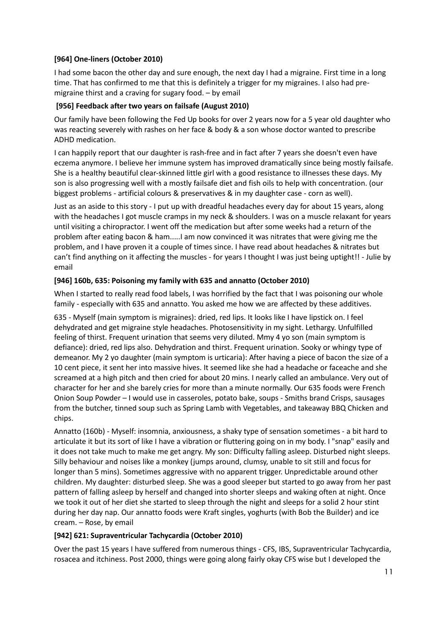## **[964] One-liners (October 2010)**

I had some bacon the other day and sure enough, the next day I had a migraine. First time in a long time. That has confirmed to me that this is definitely a trigger for my migraines. I also had premigraine thirst and a craving for sugary food. – by email

## **[956] Feedback after two years on failsafe (August 2010)**

Our family have been following the Fed Up books for over 2 years now for a 5 year old daughter who was reacting severely with rashes on her face & body & a son whose doctor wanted to prescribe ADHD medication.

I can happily report that our daughter is rash-free and in fact after 7 years she doesn't even have eczema anymore. I believe her immune system has improved dramatically since being mostly failsafe. She is a healthy beautiful clear-skinned little girl with a good resistance to illnesses these days. My son is also progressing well with a mostly failsafe diet and fish oils to help with concentration. (our biggest problems - artificial colours & preservatives & in my daughter case - corn as well).

Just as an aside to this story - I put up with dreadful headaches every day for about 15 years, along with the headaches I got muscle cramps in my neck & shoulders. I was on a muscle relaxant for years until visiting a chiropractor. I went off the medication but after some weeks had a return of the problem after eating bacon & ham.....I am now convinced it was nitrates that were giving me the problem, and I have proven it a couple of times since. I have read about headaches & nitrates but can't find anything on it affecting the muscles - for years I thought I was just being uptight!! - Julie by email

## **[946] 160b, 635: Poisoning my family with 635 and annatto (October 2010)**

When I started to really read food labels, I was horrified by the fact that I was poisoning our whole family - especially with 635 and annatto. You asked me how we are affected by these additives.

635 - Myself (main symptom is migraines): dried, red lips. It looks like I have lipstick on. I feel dehydrated and get migraine style headaches. Photosensitivity in my sight. Lethargy. Unfulfilled feeling of thirst. Frequent urination that seems very diluted. Mmy 4 yo son (main symptom is defiance): dried, red lips also. Dehydration and thirst. Frequent urination. Sooky or whingy type of demeanor. My 2 yo daughter (main symptom is urticaria): After having a piece of bacon the size of a 10 cent piece, it sent her into massive hives. It seemed like she had a headache or faceache and she screamed at a high pitch and then cried for about 20 mins. I nearly called an ambulance. Very out of character for her and she barely cries for more than a minute normally. Our 635 foods were French Onion Soup Powder – I would use in casseroles, potato bake, soups - Smiths brand Crisps, sausages from the butcher, tinned soup such as Spring Lamb with Vegetables, and takeaway BBQ Chicken and chips.

Annatto (160b) - Myself: insomnia, anxiousness, a shaky type of sensation sometimes - a bit hard to articulate it but its sort of like I have a vibration or fluttering going on in my body. I "snap" easily and it does not take much to make me get angry. My son: Difficulty falling asleep. Disturbed night sleeps. Silly behaviour and noises like a monkey (jumps around, clumsy, unable to sit still and focus for longer than 5 mins). Sometimes aggressive with no apparent trigger. Unpredictable around other children. My daughter: disturbed sleep. She was a good sleeper but started to go away from her past pattern of falling asleep by herself and changed into shorter sleeps and waking often at night. Once we took it out of her diet she started to sleep through the night and sleeps for a solid 2 hour stint during her day nap. Our annatto foods were Kraft singles, yoghurts (with Bob the Builder) and ice cream. – Rose, by email

#### **[942] 621: Supraventricular Tachycardia (October 2010)**

Over the past 15 years I have suffered from numerous things - CFS, IBS, Supraventricular Tachycardia, rosacea and itchiness. Post 2000, things were going along fairly okay CFS wise but I developed the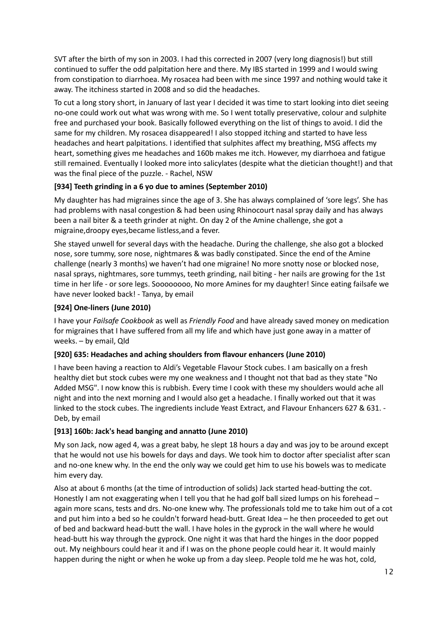SVT after the birth of my son in 2003. I had this corrected in 2007 (very long diagnosis!) but still continued to suffer the odd palpitation here and there. My IBS started in 1999 and I would swing from constipation to diarrhoea. My rosacea had been with me since 1997 and nothing would take it away. The itchiness started in 2008 and so did the headaches.

To cut a long story short, in January of last year I decided it was time to start looking into diet seeing no-one could work out what was wrong with me. So I went totally preservative, colour and sulphite free and purchased your book. Basically followed everything on the list of things to avoid. I did the same for my children. My rosacea disappeared! I also stopped itching and started to have less headaches and heart palpitations. I identified that sulphites affect my breathing, MSG affects my heart, something gives me headaches and 160b makes me itch. However, my diarrhoea and fatigue still remained. Eventually I looked more into salicylates (despite what the dietician thought!) and that was the final piece of the puzzle. - Rachel, NSW

## **[934] Teeth grinding in a 6 yo due to amines (September 2010)**

My daughter has had migraines since the age of 3. She has always complained of 'sore legs'. She has had problems with nasal congestion & had been using Rhinocourt nasal spray daily and has always been a nail biter & a teeth grinder at night. On day 2 of the Amine challenge, she got a migraine,droopy eyes,became listless,and a fever.

She stayed unwell for several days with the headache. During the challenge, she also got a blocked nose, sore tummy, sore nose, nightmares & was badly constipated. Since the end of the Amine challenge (nearly 3 months) we haven't had one migraine! No more snotty nose or blocked nose, nasal sprays, nightmares, sore tummys, teeth grinding, nail biting - her nails are growing for the 1st time in her life - or sore legs. Soooooooo, No more Amines for my daughter! Since eating failsafe we have never looked back! - Tanya, by email

#### **[924] One-liners (June 2010)**

I have your *Failsafe Cookbook* as well as *Friendly Food* and have already saved money on medication for migraines that I have suffered from all my life and which have just gone away in a matter of weeks. – by email, Qld

#### **[920] 635: Headaches and aching shoulders from flavour enhancers (June 2010)**

I have been having a reaction to Aldi's Vegetable Flavour Stock cubes. I am basically on a fresh healthy diet but stock cubes were my one weakness and I thought not that bad as they state "No Added MSG". I now know this is rubbish. Every time I cook with these my shoulders would ache all night and into the next morning and I would also get a headache. I finally worked out that it was linked to the stock cubes. The ingredients include Yeast Extract, and Flavour Enhancers 627 & 631. -Deb, by email

#### **[913] 160b: Jack's head banging and annatto (June 2010)**

My son Jack, now aged 4, was a great baby, he slept 18 hours a day and was joy to be around except that he would not use his bowels for days and days. We took him to doctor after specialist after scan and no-one knew why. In the end the only way we could get him to use his bowels was to medicate him every day.

Also at about 6 months (at the time of introduction of solids) Jack started head-butting the cot. Honestly I am not exaggerating when I tell you that he had golf ball sized lumps on his forehead – again more scans, tests and drs. No-one knew why. The professionals told me to take him out of a cot and put him into a bed so he couldn't forward head-butt. Great Idea – he then proceeded to get out of bed and backward head-butt the wall. I have holes in the gyprock in the wall where he would head-butt his way through the gyprock. One night it was that hard the hinges in the door popped out. My neighbours could hear it and if I was on the phone people could hear it. It would mainly happen during the night or when he woke up from a day sleep. People told me he was hot, cold,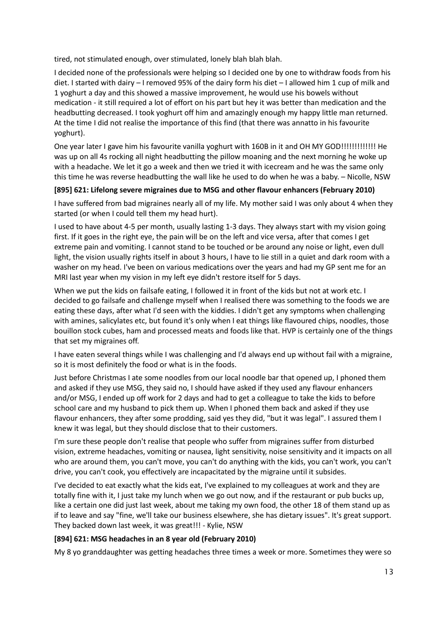tired, not stimulated enough, over stimulated, lonely blah blah blah.

I decided none of the professionals were helping so I decided one by one to withdraw foods from his diet. I started with dairy – I removed 95% of the dairy form his diet – I allowed him 1 cup of milk and 1 yoghurt a day and this showed a massive improvement, he would use his bowels without medication - it still required a lot of effort on his part but hey it was better than medication and the headbutting decreased. I took yoghurt off him and amazingly enough my happy little man returned. At the time I did not realise the importance of this find (that there was annatto in his favourite yoghurt).

One year later I gave him his favourite vanilla yoghurt with 160B in it and OH MY GOD!!!!!!!!!!!!! He was up on all 4s rocking all night headbutting the pillow moaning and the next morning he woke up with a headache. We let it go a week and then we tried it with icecream and he was the same only this time he was reverse headbutting the wall like he used to do when he was a baby. – Nicolle, NSW

#### **[895] 621: Lifelong severe migraines due to MSG and other flavour enhancers (February 2010)**

I have suffered from bad migraines nearly all of my life. My mother said I was only about 4 when they started (or when I could tell them my head hurt).

I used to have about 4-5 per month, usually lasting 1-3 days. They always start with my vision going first. If it goes in the right eye, the pain will be on the left and vice versa, after that comes I get extreme pain and vomiting. I cannot stand to be touched or be around any noise or light, even dull light, the vision usually rights itself in about 3 hours, I have to lie still in a quiet and dark room with a washer on my head. I've been on various medications over the years and had my GP sent me for an MRI last year when my vision in my left eye didn't restore itself for 5 days.

When we put the kids on failsafe eating, I followed it in front of the kids but not at work etc. I decided to go failsafe and challenge myself when I realised there was something to the foods we are eating these days, after what I'd seen with the kiddies. I didn't get any symptoms when challenging with amines, salicylates etc, but found it's only when I eat things like flavoured chips, noodles, those bouillon stock cubes, ham and processed meats and foods like that. HVP is certainly one of the things that set my migraines off.

I have eaten several things while I was challenging and I'd always end up without fail with a migraine, so it is most definitely the food or what is in the foods.

Just before Christmas I ate some noodles from our local noodle bar that opened up, I phoned them and asked if they use MSG, they said no, I should have asked if they used any flavour enhancers and/or MSG, I ended up off work for 2 days and had to get a colleague to take the kids to before school care and my husband to pick them up. When I phoned them back and asked if they use flavour enhancers, they after some prodding, said yes they did, "but it was legal". I assured them I knew it was legal, but they should disclose that to their customers.

I'm sure these people don't realise that people who suffer from migraines suffer from disturbed vision, extreme headaches, vomiting or nausea, light sensitivity, noise sensitivity and it impacts on all who are around them, you can't move, you can't do anything with the kids, you can't work, you can't drive, you can't cook, you effectively are incapacitated by the migraine until it subsides.

I've decided to eat exactly what the kids eat, I've explained to my colleagues at work and they are totally fine with it, I just take my lunch when we go out now, and if the restaurant or pub bucks up, like a certain one did just last week, about me taking my own food, the other 18 of them stand up as if to leave and say "fine, we'll take our business elsewhere, she has dietary issues". It's great support. They backed down last week, it was great!!! - Kylie, NSW

#### **[894] 621: MSG headaches in an 8 year old (February 2010)**

My 8 yo granddaughter was getting headaches three times a week or more. Sometimes they were so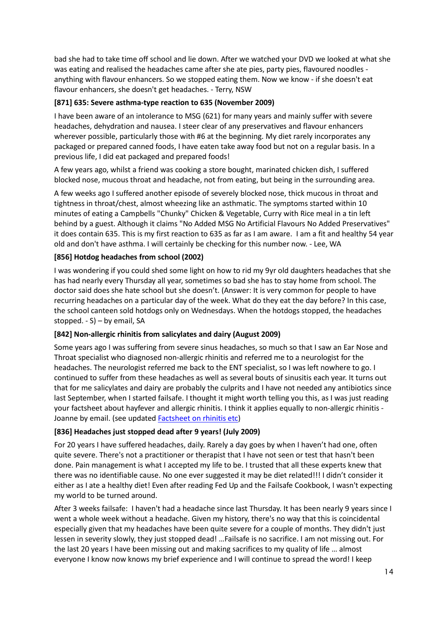bad she had to take time off school and lie down. After we watched your DVD we looked at what she was eating and realised the headaches came after she ate pies, party pies, flavoured noodles anything with flavour enhancers. So we stopped eating them. Now we know - if she doesn't eat flavour enhancers, she doesn't get headaches. - Terry, NSW

#### **[871] 635: Severe asthma-type reaction to 635 (November 2009)**

I have been aware of an intolerance to MSG (621) for many years and mainly suffer with severe headaches, dehydration and nausea. I steer clear of any preservatives and flavour enhancers wherever possible, particularly those with #6 at the beginning. My diet rarely incorporates any packaged or prepared canned foods, I have eaten take away food but not on a regular basis. In a previous life, I did eat packaged and prepared foods!

A few years ago, whilst a friend was cooking a store bought, marinated chicken dish, I suffered blocked nose, mucous throat and headache, not from eating, but being in the surrounding area.

A few weeks ago I suffered another episode of severely blocked nose, thick mucous in throat and tightness in throat/chest, almost wheezing like an asthmatic. The symptoms started within 10 minutes of eating a Campbells "Chunky" Chicken & Vegetable, Curry with Rice meal in a tin left behind by a guest. Although it claims "No Added MSG No Artificial Flavours No Added Preservatives" it does contain 635. This is my first reaction to 635 as far as I am aware. I am a fit and healthy 54 year old and don't have asthma. I will certainly be checking for this number now. - Lee, WA

## **[856] Hotdog headaches from school (2002)**

I was wondering if you could shed some light on how to rid my 9yr old daughters headaches that she has had nearly every Thursday all year, sometimes so bad she has to stay home from school. The doctor said does she hate school but she doesn't. (Answer: It is very common for people to have recurring headaches on a particular day of the week. What do they eat the day before? In this case, the school canteen sold hotdogs only on Wednesdays. When the hotdogs stopped, the headaches stopped. - S) – by email, SA

#### **[842] Non-allergic rhinitis from salicylates and dairy (August 2009)**

Some years ago I was suffering from severe sinus headaches, so much so that I saw an Ear Nose and Throat specialist who diagnosed non-allergic rhinitis and referred me to a neurologist for the headaches. The neurologist referred me back to the ENT specialist, so I was left nowhere to go. I continued to suffer from these headaches as well as several bouts of sinusitis each year. It turns out that for me salicylates and dairy are probably the culprits and I have not needed any antibiotics since last September, when I started failsafe. I thought it might worth telling you this, as I was just reading your factsheet about hayfever and allergic rhinitis. I think it applies equally to non-allergic rhinitis - Joanne by email. (see updated [Factsheet on rhinitis etc\)](http://fedup.com.au/factsheets/symptom-factsheets/hayfever-and-allergic-rhinitis)

#### **[836] Headaches just stopped dead after 9 years! (July 2009)**

For 20 years I have suffered headaches, daily. Rarely a day goes by when I haven't had one, often quite severe. There's not a practitioner or therapist that I have not seen or test that hasn't been done. Pain management is what I accepted my life to be. I trusted that all these experts knew that there was no identifiable cause. No one ever suggested it may be diet related!!! I didn't consider it either as I ate a healthy diet! Even after reading Fed Up and the Failsafe Cookbook, I wasn't expecting my world to be turned around.

After 3 weeks failsafe: I haven't had a headache since last Thursday. It has been nearly 9 years since I went a whole week without a headache. Given my history, there's no way that this is coincidental especially given that my headaches have been quite severe for a couple of months. They didn't just lessen in severity slowly, they just stopped dead! …Failsafe is no sacrifice. I am not missing out. For the last 20 years I have been missing out and making sacrifices to my quality of life … almost everyone I know now knows my brief experience and I will continue to spread the word! I keep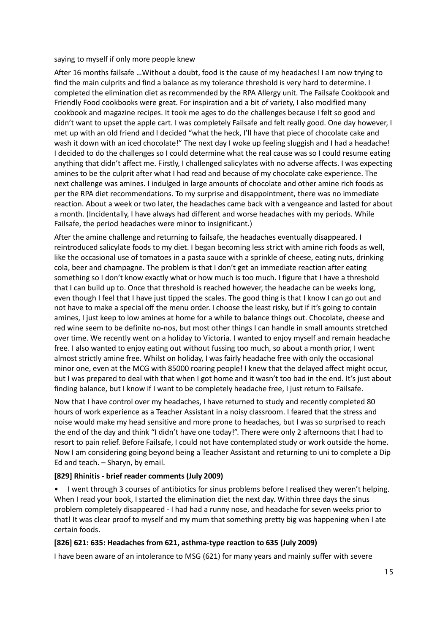saying to myself if only more people knew

After 16 months failsafe …Without a doubt, food is the cause of my headaches! I am now trying to find the main culprits and find a balance as my tolerance threshold is very hard to determine. I completed the elimination diet as recommended by the RPA Allergy unit. The Failsafe Cookbook and Friendly Food cookbooks were great. For inspiration and a bit of variety, I also modified many cookbook and magazine recipes. It took me ages to do the challenges because I felt so good and didn't want to upset the apple cart. I was completely Failsafe and felt really good. One day however, I met up with an old friend and I decided "what the heck, I'll have that piece of chocolate cake and wash it down with an iced chocolate!" The next day I woke up feeling sluggish and I had a headache! I decided to do the challenges so I could determine what the real cause was so I could resume eating anything that didn't affect me. Firstly, I challenged salicylates with no adverse affects. I was expecting amines to be the culprit after what I had read and because of my chocolate cake experience. The next challenge was amines. I indulged in large amounts of chocolate and other amine rich foods as per the RPA diet recommendations. To my surprise and disappointment, there was no immediate reaction. About a week or two later, the headaches came back with a vengeance and lasted for about a month. (Incidentally, I have always had different and worse headaches with my periods. While Failsafe, the period headaches were minor to insignificant.)

After the amine challenge and returning to failsafe, the headaches eventually disappeared. I reintroduced salicylate foods to my diet. I began becoming less strict with amine rich foods as well, like the occasional use of tomatoes in a pasta sauce with a sprinkle of cheese, eating nuts, drinking cola, beer and champagne. The problem is that I don't get an immediate reaction after eating something so I don't know exactly what or how much is too much. I figure that I have a threshold that I can build up to. Once that threshold is reached however, the headache can be weeks long, even though I feel that I have just tipped the scales. The good thing is that I know I can go out and not have to make a special off the menu order. I choose the least risky, but if it's going to contain amines, I just keep to low amines at home for a while to balance things out. Chocolate, cheese and red wine seem to be definite no-nos, but most other things I can handle in small amounts stretched over time. We recently went on a holiday to Victoria. I wanted to enjoy myself and remain headache free. I also wanted to enjoy eating out without fussing too much, so about a month prior, I went almost strictly amine free. Whilst on holiday, I was fairly headache free with only the occasional minor one, even at the MCG with 85000 roaring people! I knew that the delayed affect might occur, but I was prepared to deal with that when I got home and it wasn't too bad in the end. It's just about finding balance, but I know if I want to be completely headache free, I just return to Failsafe.

Now that I have control over my headaches, I have returned to study and recently completed 80 hours of work experience as a Teacher Assistant in a noisy classroom. I feared that the stress and noise would make my head sensitive and more prone to headaches, but I was so surprised to reach the end of the day and think "I didn't have one today!". There were only 2 afternoons that I had to resort to pain relief. Before Failsafe, I could not have contemplated study or work outside the home. Now I am considering going beyond being a Teacher Assistant and returning to uni to complete a Dip Ed and teach. – Sharyn, by email.

#### **[829] Rhinitis - brief reader comments (July 2009)**

• I went through 3 courses of antibiotics for sinus problems before I realised they weren't helping. When I read your book, I started the elimination diet the next day. Within three days the sinus problem completely disappeared - I had had a runny nose, and headache for seven weeks prior to that! It was clear proof to myself and my mum that something pretty big was happening when I ate certain foods.

#### **[826] 621: 635: Headaches from 621, asthma-type reaction to 635 (July 2009)**

I have been aware of an intolerance to MSG (621) for many years and mainly suffer with severe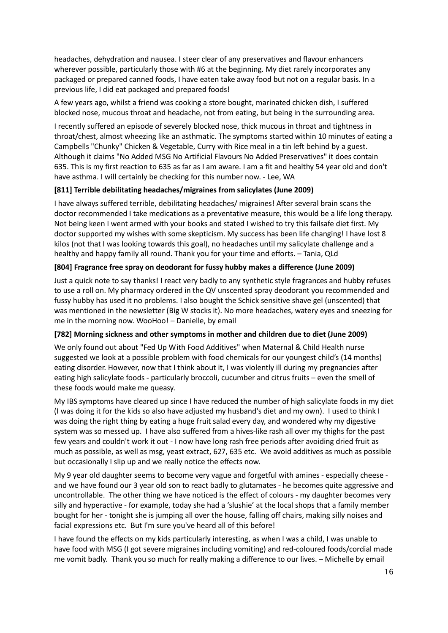headaches, dehydration and nausea. I steer clear of any preservatives and flavour enhancers wherever possible, particularly those with #6 at the beginning. My diet rarely incorporates any packaged or prepared canned foods, I have eaten take away food but not on a regular basis. In a previous life, I did eat packaged and prepared foods!

A few years ago, whilst a friend was cooking a store bought, marinated chicken dish, I suffered blocked nose, mucous throat and headache, not from eating, but being in the surrounding area.

I recently suffered an episode of severely blocked nose, thick mucous in throat and tightness in throat/chest, almost wheezing like an asthmatic. The symptoms started within 10 minutes of eating a Campbells "Chunky" Chicken & Vegetable, Curry with Rice meal in a tin left behind by a guest. Although it claims "No Added MSG No Artificial Flavours No Added Preservatives" it does contain 635. This is my first reaction to 635 as far as I am aware. I am a fit and healthy 54 year old and don't have asthma. I will certainly be checking for this number now. - Lee, WA

#### **[811] Terrible debilitating headaches/migraines from salicylates (June 2009)**

I have always suffered terrible, debilitating headaches/ migraines! After several brain scans the doctor recommended I take medications as a preventative measure, this would be a life long therapy. Not being keen I went armed with your books and stated I wished to try this failsafe diet first. My doctor supported my wishes with some skepticism. My success has been life changing! I have lost 8 kilos (not that I was looking towards this goal), no headaches until my salicylate challenge and a healthy and happy family all round. Thank you for your time and efforts. – Tania, QLd

#### **[804] Fragrance free spray on deodorant for fussy hubby makes a difference (June 2009)**

Just a quick note to say thanks! I react very badly to any synthetic style fragrances and hubby refuses to use a roll on. My pharmacy ordered in the QV unscented spray deodorant you recommended and fussy hubby has used it no problems. I also bought the Schick sensitive shave gel (unscented) that was mentioned in the newsletter (Big W stocks it). No more headaches, watery eyes and sneezing for me in the morning now. WooHoo! – Danielle, by email

#### **[782] Morning sickness and other symptoms in mother and children due to diet (June 2009)**

We only found out about "Fed Up With Food Additives" when Maternal & Child Health nurse suggested we look at a possible problem with food chemicals for our youngest child's (14 months) eating disorder. However, now that I think about it, I was violently ill during my pregnancies after eating high salicylate foods - particularly broccoli, cucumber and citrus fruits – even the smell of these foods would make me queasy.

My IBS symptoms have cleared up since I have reduced the number of high salicylate foods in my diet (I was doing it for the kids so also have adjusted my husband's diet and my own). I used to think I was doing the right thing by eating a huge fruit salad every day, and wondered why my digestive system was so messed up. I have also suffered from a hives-like rash all over my thighs for the past few years and couldn't work it out - I now have long rash free periods after avoiding dried fruit as much as possible, as well as msg, yeast extract, 627, 635 etc. We avoid additives as much as possible but occasionally I slip up and we really notice the effects now.

My 9 year old daughter seems to become very vague and forgetful with amines - especially cheese and we have found our 3 year old son to react badly to glutamates - he becomes quite aggressive and uncontrollable. The other thing we have noticed is the effect of colours - my daughter becomes very silly and hyperactive - for example, today she had a 'slushie' at the local shops that a family member bought for her - tonight she is jumping all over the house, falling off chairs, making silly noises and facial expressions etc. But I'm sure you've heard all of this before!

I have found the effects on my kids particularly interesting, as when I was a child, I was unable to have food with MSG (I got severe migraines including vomiting) and red-coloured foods/cordial made me vomit badly. Thank you so much for really making a difference to our lives. – Michelle by email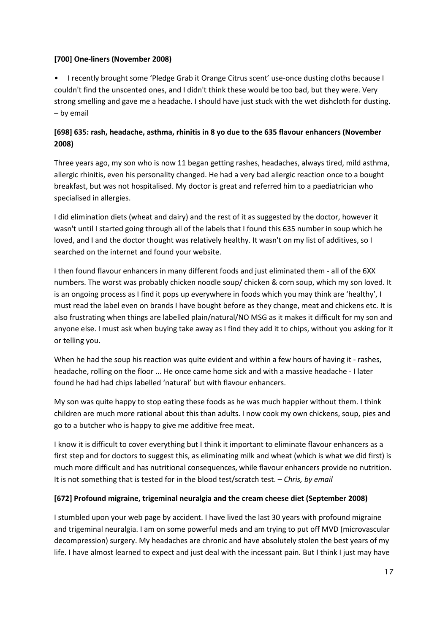#### **[700] One-liners (November 2008)**

• I recently brought some 'Pledge Grab it Orange Citrus scent' use-once dusting cloths because I couldn't find the unscented ones, and I didn't think these would be too bad, but they were. Very strong smelling and gave me a headache. I should have just stuck with the wet dishcloth for dusting. – by email

# **[698] 635: rash, headache, asthma, rhinitis in 8 yo due to the 635 flavour enhancers (November 2008)**

Three years ago, my son who is now 11 began getting rashes, headaches, always tired, mild asthma, allergic rhinitis, even his personality changed. He had a very bad allergic reaction once to a bought breakfast, but was not hospitalised. My doctor is great and referred him to a paediatrician who specialised in allergies.

I did elimination diets (wheat and dairy) and the rest of it as suggested by the doctor, however it wasn't until I started going through all of the labels that I found this 635 number in soup which he loved, and I and the doctor thought was relatively healthy. It wasn't on my list of additives, so I searched on the internet and found your website.

I then found flavour enhancers in many different foods and just eliminated them - all of the 6XX numbers. The worst was probably chicken noodle soup/ chicken & corn soup, which my son loved. It is an ongoing process as I find it pops up everywhere in foods which you may think are 'healthy', I must read the label even on brands I have bought before as they change, meat and chickens etc. It is also frustrating when things are labelled plain/natural/NO MSG as it makes it difficult for my son and anyone else. I must ask when buying take away as I find they add it to chips, without you asking for it or telling you.

When he had the soup his reaction was quite evident and within a few hours of having it - rashes, headache, rolling on the floor ... He once came home sick and with a massive headache - I later found he had had chips labelled 'natural' but with flavour enhancers.

My son was quite happy to stop eating these foods as he was much happier without them. I think children are much more rational about this than adults. I now cook my own chickens, soup, pies and go to a butcher who is happy to give me additive free meat.

I know it is difficult to cover everything but I think it important to eliminate flavour enhancers as a first step and for doctors to suggest this, as eliminating milk and wheat (which is what we did first) is much more difficult and has nutritional consequences, while flavour enhancers provide no nutrition. It is not something that is tested for in the blood test/scratch test. – *Chris, by email* 

# **[672] Profound migraine, trigeminal neuralgia and the cream cheese diet (September 2008)**

I stumbled upon your web page by accident. I have lived the last 30 years with profound migraine and trigeminal neuralgia. I am on some powerful meds and am trying to put off MVD (microvascular decompression) surgery. My headaches are chronic and have absolutely stolen the best years of my life. I have almost learned to expect and just deal with the incessant pain. But I think I just may have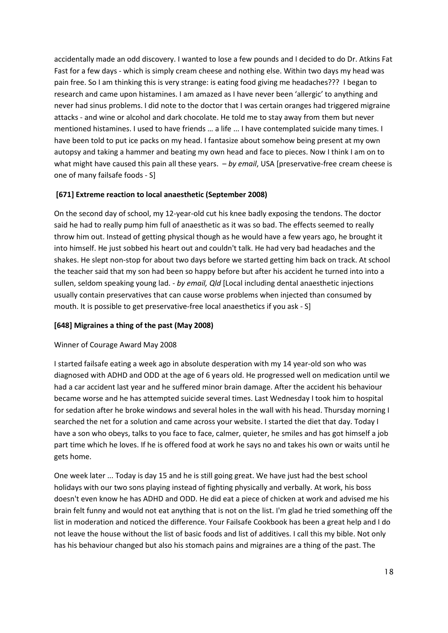accidentally made an odd discovery. I wanted to lose a few pounds and I decided to do Dr. Atkins Fat Fast for a few days - which is simply cream cheese and nothing else. Within two days my head was pain free. So I am thinking this is very strange: is eating food giving me headaches??? I began to research and came upon histamines. I am amazed as I have never been 'allergic' to anything and never had sinus problems. I did note to the doctor that I was certain oranges had triggered migraine attacks - and wine or alcohol and dark chocolate. He told me to stay away from them but never mentioned histamines. I used to have friends … a life ... I have contemplated suicide many times. I have been told to put ice packs on my head. I fantasize about somehow being present at my own autopsy and taking a hammer and beating my own head and face to pieces. Now I think I am on to what might have caused this pain all these years. *- by email*, USA [preservative-free cream cheese is one of many failsafe foods - S]

## **[671] Extreme reaction to local anaesthetic (September 2008)**

On the second day of school, my 12-year-old cut his knee badly exposing the tendons. The doctor said he had to really pump him full of anaesthetic as it was so bad. The effects seemed to really throw him out. Instead of getting physical though as he would have a few years ago, he brought it into himself. He just sobbed his heart out and couldn't talk. He had very bad headaches and the shakes. He slept non-stop for about two days before we started getting him back on track. At school the teacher said that my son had been so happy before but after his accident he turned into into a sullen, seldom speaking young lad. - *by email, Qld* [Local including dental anaesthetic injections usually contain preservatives that can cause worse problems when injected than consumed by mouth. It is possible to get preservative-free local anaesthetics if you ask - S]

#### **[648] Migraines a thing of the past (May 2008)**

#### Winner of Courage Award May 2008

I started failsafe eating a week ago in absolute desperation with my 14 year-old son who was diagnosed with ADHD and ODD at the age of 6 years old. He progressed well on medication until we had a car accident last year and he suffered minor brain damage. After the accident his behaviour became worse and he has attempted suicide several times. Last Wednesday I took him to hospital for sedation after he broke windows and several holes in the wall with his head. Thursday morning I searched the net for a solution and came across your website. I started the diet that day. Today I have a son who obeys, talks to you face to face, calmer, quieter, he smiles and has got himself a job part time which he loves. If he is offered food at work he says no and takes his own or waits until he gets home.

One week later ... Today is day 15 and he is still going great. We have just had the best school holidays with our two sons playing instead of fighting physically and verbally. At work, his boss doesn't even know he has ADHD and ODD. He did eat a piece of chicken at work and advised me his brain felt funny and would not eat anything that is not on the list. I'm glad he tried something off the list in moderation and noticed the difference. Your Failsafe Cookbook has been a great help and I do not leave the house without the list of basic foods and list of additives. I call this my bible. Not only has his behaviour changed but also his stomach pains and migraines are a thing of the past. The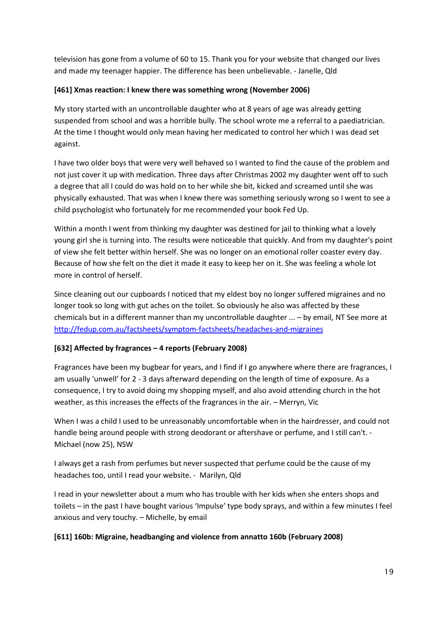television has gone from a volume of 60 to 15. Thank you for your website that changed our lives and made my teenager happier. The difference has been unbelievable. - Janelle, Qld

## **[461] Xmas reaction: I knew there was something wrong (November 2006)**

My story started with an uncontrollable daughter who at 8 years of age was already getting suspended from school and was a horrible bully. The school wrote me a referral to a paediatrician. At the time I thought would only mean having her medicated to control her which I was dead set against.

I have two older boys that were very well behaved so I wanted to find the cause of the problem and not just cover it up with medication. Three days after Christmas 2002 my daughter went off to such a degree that all I could do was hold on to her while she bit, kicked and screamed until she was physically exhausted. That was when I knew there was something seriously wrong so I went to see a child psychologist who fortunately for me recommended your book Fed Up.

Within a month I went from thinking my daughter was destined for jail to thinking what a lovely young girl she is turning into. The results were noticeable that quickly. And from my daughter's point of view she felt better within herself. She was no longer on an emotional roller coaster every day. Because of how she felt on the diet it made it easy to keep her on it. She was feeling a whole lot more in control of herself.

Since cleaning out our cupboards I noticed that my eldest boy no longer suffered migraines and no longer took so long with gut aches on the toilet. So obviously he also was affected by these chemicals but in a different manner than my uncontrollable daughter ... – by email, NT See more at <http://fedup.com.au/factsheets/symptom-factsheets/headaches-and-migraines>

# **[632] Affected by fragrances – 4 reports (February 2008)**

Fragrances have been my bugbear for years, and I find if I go anywhere where there are fragrances, I am usually 'unwell' for 2 - 3 days afterward depending on the length of time of exposure. As a consequence, I try to avoid doing my shopping myself, and also avoid attending church in the hot weather, as this increases the effects of the fragrances in the air. – Merryn, Vic

When I was a child I used to be unreasonably uncomfortable when in the hairdresser, and could not handle being around people with strong deodorant or aftershave or perfume, and I still can't. - Michael (now 25), NSW

I always get a rash from perfumes but never suspected that perfume could be the cause of my headaches too, until I read your website. - Marilyn, Qld

I read in your newsletter about a mum who has trouble with her kids when she enters shops and toilets – in the past I have bought various 'Impulse' type body sprays, and within a few minutes I feel anxious and very touchy. – Michelle, by email

# **[611] 160b: Migraine, headbanging and violence from annatto 160b (February 2008)**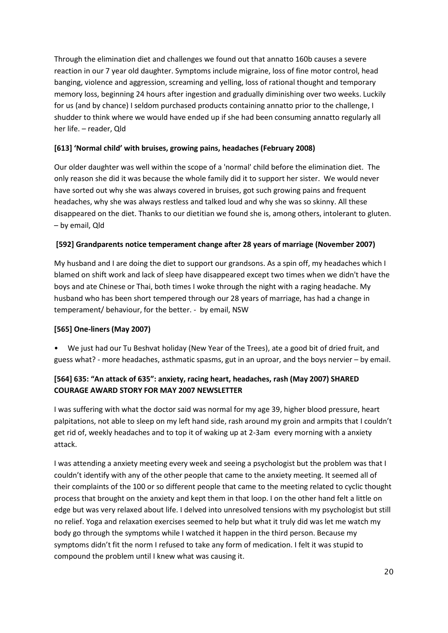Through the elimination diet and challenges we found out that annatto 160b causes a severe reaction in our 7 year old daughter. Symptoms include migraine, loss of fine motor control, head banging, violence and aggression, screaming and yelling, loss of rational thought and temporary memory loss, beginning 24 hours after ingestion and gradually diminishing over two weeks. Luckily for us (and by chance) I seldom purchased products containing annatto prior to the challenge, I shudder to think where we would have ended up if she had been consuming annatto regularly all her life. – reader, Qld

## **[613] 'Normal child' with bruises, growing pains, headaches (February 2008)**

Our older daughter was well within the scope of a 'normal' child before the elimination diet. The only reason she did it was because the whole family did it to support her sister. We would never have sorted out why she was always covered in bruises, got such growing pains and frequent headaches, why she was always restless and talked loud and why she was so skinny. All these disappeared on the diet. Thanks to our dietitian we found she is, among others, intolerant to gluten. – by email, Qld

#### **[592] Grandparents notice temperament change after 28 years of marriage (November 2007)**

My husband and I are doing the diet to support our grandsons. As a spin off, my headaches which I blamed on shift work and lack of sleep have disappeared except two times when we didn't have the boys and ate Chinese or Thai, both times I woke through the night with a raging headache. My husband who has been short tempered through our 28 years of marriage, has had a change in temperament/ behaviour, for the better. - by email, NSW

# **[565] One-liners (May 2007)**

• We just had our Tu Beshvat holiday (New Year of the Trees), ate a good bit of dried fruit, and guess what? - more headaches, asthmatic spasms, gut in an uproar, and the boys nervier – by email.

# **[564] 635: "An attack of 635": anxiety, racing heart, headaches, rash (May 2007) SHARED COURAGE AWARD STORY FOR MAY 2007 NEWSLETTER**

I was suffering with what the doctor said was normal for my age 39, higher blood pressure, heart palpitations, not able to sleep on my left hand side, rash around my groin and armpits that I couldn't get rid of, weekly headaches and to top it of waking up at 2-3am every morning with a anxiety attack.

I was attending a anxiety meeting every week and seeing a psychologist but the problem was that I couldn't identify with any of the other people that came to the anxiety meeting. It seemed all of their complaints of the 100 or so different people that came to the meeting related to cyclic thought process that brought on the anxiety and kept them in that loop. I on the other hand felt a little on edge but was very relaxed about life. I delved into unresolved tensions with my psychologist but still no relief. Yoga and relaxation exercises seemed to help but what it truly did was let me watch my body go through the symptoms while I watched it happen in the third person. Because my symptoms didn't fit the norm I refused to take any form of medication. I felt it was stupid to compound the problem until I knew what was causing it.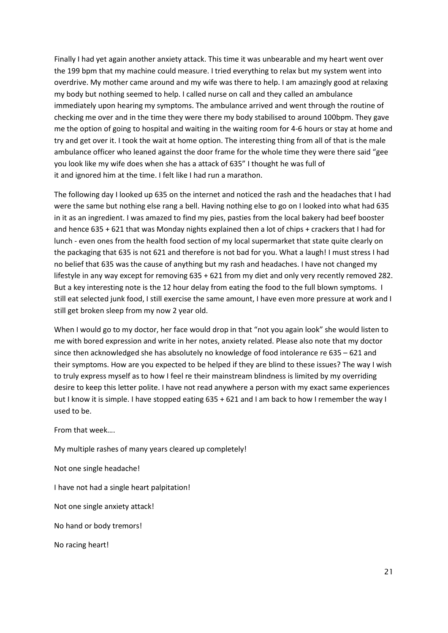Finally I had yet again another anxiety attack. This time it was unbearable and my heart went over the 199 bpm that my machine could measure. I tried everything to relax but my system went into overdrive. My mother came around and my wife was there to help. I am amazingly good at relaxing my body but nothing seemed to help. I called nurse on call and they called an ambulance immediately upon hearing my symptoms. The ambulance arrived and went through the routine of checking me over and in the time they were there my body stabilised to around 100bpm. They gave me the option of going to hospital and waiting in the waiting room for 4-6 hours or stay at home and try and get over it. I took the wait at home option. The interesting thing from all of that is the male ambulance officer who leaned against the door frame for the whole time they were there said "gee you look like my wife does when she has a attack of 635" I thought he was full of it and ignored him at the time. I felt like I had run a marathon.

The following day I looked up 635 on the internet and noticed the rash and the headaches that I had were the same but nothing else rang a bell. Having nothing else to go on I looked into what had 635 in it as an ingredient. I was amazed to find my pies, pasties from the local bakery had beef booster and hence 635 + 621 that was Monday nights explained then a lot of chips + crackers that I had for lunch - even ones from the health food section of my local supermarket that state quite clearly on the packaging that 635 is not 621 and therefore is not bad for you. What a laugh! I must stress I had no belief that 635 was the cause of anything but my rash and headaches. I have not changed my lifestyle in any way except for removing 635 + 621 from my diet and only very recently removed 282. But a key interesting note is the 12 hour delay from eating the food to the full blown symptoms. I still eat selected junk food, I still exercise the same amount, I have even more pressure at work and I still get broken sleep from my now 2 year old.

When I would go to my doctor, her face would drop in that "not you again look" she would listen to me with bored expression and write in her notes, anxiety related. Please also note that my doctor since then acknowledged she has absolutely no knowledge of food intolerance re 635 – 621 and their symptoms. How are you expected to be helped if they are blind to these issues? The way I wish to truly express myself as to how I feel re their mainstream blindness is limited by my overriding desire to keep this letter polite. I have not read anywhere a person with my exact same experiences but I know it is simple. I have stopped eating 635 + 621 and I am back to how I remember the way I used to be.

From that week….

My multiple rashes of many years cleared up completely!

Not one single headache!

I have not had a single heart palpitation!

Not one single anxiety attack!

No hand or body tremors!

No racing heart!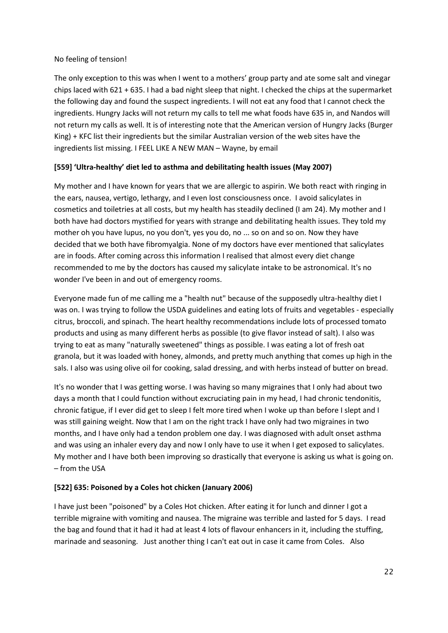#### No feeling of tension!

The only exception to this was when I went to a mothers' group party and ate some salt and vinegar chips laced with 621 + 635. I had a bad night sleep that night. I checked the chips at the supermarket the following day and found the suspect ingredients. I will not eat any food that I cannot check the ingredients. Hungry Jacks will not return my calls to tell me what foods have 635 in, and Nandos will not return my calls as well. It is of interesting note that the American version of Hungry Jacks (Burger King) + KFC list their ingredients but the similar Australian version of the web sites have the ingredients list missing. I FEEL LIKE A NEW MAN – Wayne, by email

## **[559] 'Ultra-healthy' diet led to asthma and debilitating health issues (May 2007)**

My mother and I have known for years that we are allergic to aspirin. We both react with ringing in the ears, nausea, vertigo, lethargy, and I even lost consciousness once. I avoid salicylates in cosmetics and toiletries at all costs, but my health has steadily declined (I am 24). My mother and I both have had doctors mystified for years with strange and debilitating health issues. They told my mother oh you have lupus, no you don't, yes you do, no ... so on and so on. Now they have decided that we both have fibromyalgia. None of my doctors have ever mentioned that salicylates are in foods. After coming across this information I realised that almost every diet change recommended to me by the doctors has caused my salicylate intake to be astronomical. It's no wonder I've been in and out of emergency rooms.

Everyone made fun of me calling me a "health nut" because of the supposedly ultra-healthy diet I was on. I was trying to follow the USDA guidelines and eating lots of fruits and vegetables - especially citrus, broccoli, and spinach. The heart healthy recommendations include lots of processed tomato products and using as many different herbs as possible (to give flavor instead of salt). I also was trying to eat as many "naturally sweetened" things as possible. I was eating a lot of fresh oat granola, but it was loaded with honey, almonds, and pretty much anything that comes up high in the sals. I also was using olive oil for cooking, salad dressing, and with herbs instead of butter on bread.

It's no wonder that I was getting worse. I was having so many migraines that I only had about two days a month that I could function without excruciating pain in my head, I had chronic tendonitis, chronic fatigue, if I ever did get to sleep I felt more tired when I woke up than before I slept and I was still gaining weight. Now that I am on the right track I have only had two migraines in two months, and I have only had a tendon problem one day. I was diagnosed with adult onset asthma and was using an inhaler every day and now I only have to use it when I get exposed to salicylates. My mother and I have both been improving so drastically that everyone is asking us what is going on. – from the USA

# **[522] 635: Poisoned by a Coles hot chicken (January 2006)**

I have just been "poisoned" by a Coles Hot chicken. After eating it for lunch and dinner I got a terrible migraine with vomiting and nausea. The migraine was terrible and lasted for 5 days. I read the bag and found that it had it had at least 4 lots of flavour enhancers in it, including the stuffing, marinade and seasoning. Just another thing I can't eat out in case it came from Coles. Also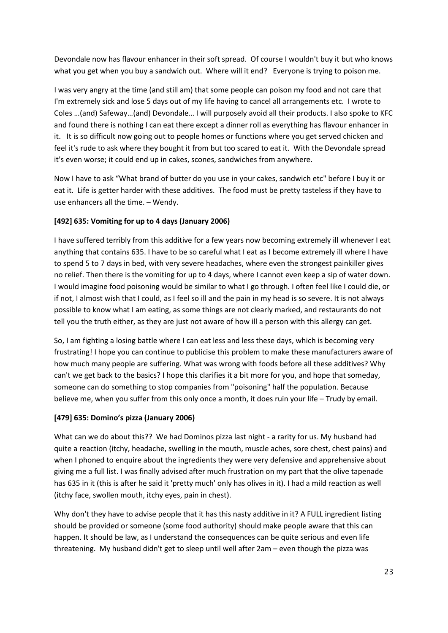Devondale now has flavour enhancer in their soft spread. Of course I wouldn't buy it but who knows what you get when you buy a sandwich out. Where will it end? Everyone is trying to poison me.

I was very angry at the time (and still am) that some people can poison my food and not care that I'm extremely sick and lose 5 days out of my life having to cancel all arrangements etc. I wrote to Coles …(and) Safeway…(and) Devondale… I will purposely avoid all their products. I also spoke to KFC and found there is nothing I can eat there except a dinner roll as everything has flavour enhancer in it. It is so difficult now going out to people homes or functions where you get served chicken and feel it's rude to ask where they bought it from but too scared to eat it. With the Devondale spread it's even worse; it could end up in cakes, scones, sandwiches from anywhere.

Now I have to ask "What brand of butter do you use in your cakes, sandwich etc" before I buy it or eat it. Life is getter harder with these additives. The food must be pretty tasteless if they have to use enhancers all the time. – Wendy.

## **[492] 635: Vomiting for up to 4 days (January 2006)**

I have suffered terribly from this additive for a few years now becoming extremely ill whenever I eat anything that contains 635. I have to be so careful what I eat as I become extremely ill where I have to spend 5 to 7 days in bed, with very severe headaches, where even the strongest painkiller gives no relief. Then there is the vomiting for up to 4 days, where I cannot even keep a sip of water down. I would imagine food poisoning would be similar to what I go through. I often feel like I could die, or if not, I almost wish that I could, as I feel so ill and the pain in my head is so severe. It is not always possible to know what I am eating, as some things are not clearly marked, and restaurants do not tell you the truth either, as they are just not aware of how ill a person with this allergy can get.

So, I am fighting a losing battle where I can eat less and less these days, which is becoming very frustrating! I hope you can continue to publicise this problem to make these manufacturers aware of how much many people are suffering. What was wrong with foods before all these additives? Why can't we get back to the basics? I hope this clarifies it a bit more for you, and hope that someday, someone can do something to stop companies from "poisoning" half the population. Because believe me, when you suffer from this only once a month, it does ruin your life – Trudy by email.

#### **[479] 635: Domino's pizza (January 2006)**

What can we do about this?? We had Dominos pizza last night - a rarity for us. My husband had quite a reaction (itchy, headache, swelling in the mouth, muscle aches, sore chest, chest pains) and when I phoned to enquire about the ingredients they were very defensive and apprehensive about giving me a full list. I was finally advised after much frustration on my part that the olive tapenade has 635 in it (this is after he said it 'pretty much' only has olives in it). I had a mild reaction as well (itchy face, swollen mouth, itchy eyes, pain in chest).

Why don't they have to advise people that it has this nasty additive in it? A FULL ingredient listing should be provided or someone (some food authority) should make people aware that this can happen. It should be law, as I understand the consequences can be quite serious and even life threatening. My husband didn't get to sleep until well after 2am – even though the pizza was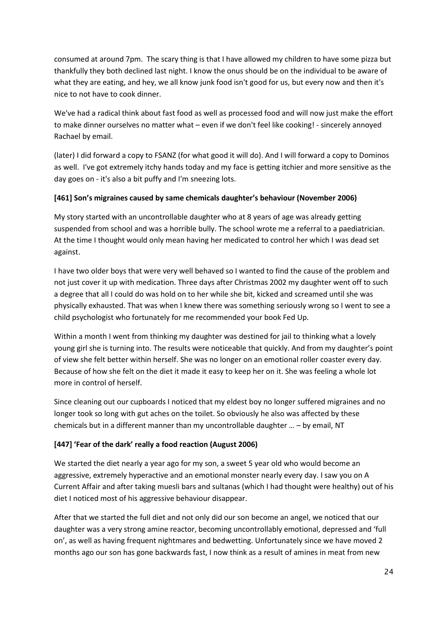consumed at around 7pm. The scary thing is that I have allowed my children to have some pizza but thankfully they both declined last night. I know the onus should be on the individual to be aware of what they are eating, and hey, we all know junk food isn't good for us, but every now and then it's nice to not have to cook dinner.

We've had a radical think about fast food as well as processed food and will now just make the effort to make dinner ourselves no matter what – even if we don't feel like cooking! - sincerely annoyed Rachael by email.

(later) I did forward a copy to FSANZ (for what good it will do). And I will forward a copy to Dominos as well. I've got extremely itchy hands today and my face is getting itchier and more sensitive as the day goes on - it's also a bit puffy and I'm sneezing lots.

#### **[461] Son's migraines caused by same chemicals daughter's behaviour (November 2006)**

My story started with an uncontrollable daughter who at 8 years of age was already getting suspended from school and was a horrible bully. The school wrote me a referral to a paediatrician. At the time I thought would only mean having her medicated to control her which I was dead set against.

I have two older boys that were very well behaved so I wanted to find the cause of the problem and not just cover it up with medication. Three days after Christmas 2002 my daughter went off to such a degree that all I could do was hold on to her while she bit, kicked and screamed until she was physically exhausted. That was when I knew there was something seriously wrong so I went to see a child psychologist who fortunately for me recommended your book Fed Up.

Within a month I went from thinking my daughter was destined for jail to thinking what a lovely young girl she is turning into. The results were noticeable that quickly. And from my daughter's point of view she felt better within herself. She was no longer on an emotional roller coaster every day. Because of how she felt on the diet it made it easy to keep her on it. She was feeling a whole lot more in control of herself.

Since cleaning out our cupboards I noticed that my eldest boy no longer suffered migraines and no longer took so long with gut aches on the toilet. So obviously he also was affected by these chemicals but in a different manner than my uncontrollable daughter … – by email, NT

# **[447] 'Fear of the dark' really a food reaction (August 2006)**

We started the diet nearly a year ago for my son, a sweet 5 year old who would become an aggressive, extremely hyperactive and an emotional monster nearly every day. I saw you on A Current Affair and after taking muesli bars and sultanas (which I had thought were healthy) out of his diet I noticed most of his aggressive behaviour disappear.

After that we started the full diet and not only did our son become an angel, we noticed that our daughter was a very strong amine reactor, becoming uncontrollably emotional, depressed and 'full on', as well as having frequent nightmares and bedwetting. Unfortunately since we have moved 2 months ago our son has gone backwards fast, I now think as a result of amines in meat from new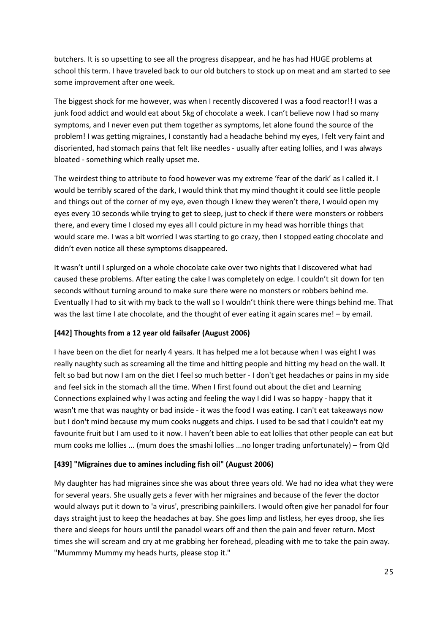butchers. It is so upsetting to see all the progress disappear, and he has had HUGE problems at school this term. I have traveled back to our old butchers to stock up on meat and am started to see some improvement after one week.

The biggest shock for me however, was when I recently discovered I was a food reactor!! I was a junk food addict and would eat about 5kg of chocolate a week. I can't believe now I had so many symptoms, and I never even put them together as symptoms, let alone found the source of the problem! I was getting migraines, I constantly had a headache behind my eyes, I felt very faint and disoriented, had stomach pains that felt like needles - usually after eating lollies, and I was always bloated - something which really upset me.

The weirdest thing to attribute to food however was my extreme 'fear of the dark' as I called it. I would be terribly scared of the dark, I would think that my mind thought it could see little people and things out of the corner of my eye, even though I knew they weren't there, I would open my eyes every 10 seconds while trying to get to sleep, just to check if there were monsters or robbers there, and every time I closed my eyes all I could picture in my head was horrible things that would scare me. I was a bit worried I was starting to go crazy, then I stopped eating chocolate and didn't even notice all these symptoms disappeared.

It wasn't until I splurged on a whole chocolate cake over two nights that I discovered what had caused these problems. After eating the cake I was completely on edge. I couldn't sit down for ten seconds without turning around to make sure there were no monsters or robbers behind me. Eventually I had to sit with my back to the wall so I wouldn't think there were things behind me. That was the last time I ate chocolate, and the thought of ever eating it again scares me! – by email.

#### **[442] Thoughts from a 12 year old failsafer (August 2006)**

I have been on the diet for nearly 4 years. It has helped me a lot because when I was eight I was really naughty such as screaming all the time and hitting people and hitting my head on the wall. It felt so bad but now I am on the diet I feel so much better - I don't get headaches or pains in my side and feel sick in the stomach all the time. When I first found out about the diet and Learning Connections explained why I was acting and feeling the way I did I was so happy - happy that it wasn't me that was naughty or bad inside - it was the food I was eating. I can't eat takeaways now but I don't mind because my mum cooks nuggets and chips. I used to be sad that I couldn't eat my favourite fruit but I am used to it now. I haven't been able to eat lollies that other people can eat but mum cooks me lollies ... (mum does the smashi lollies ...no longer trading unfortunately) – from Qld

#### **[439] "Migraines due to amines including fish oil" (August 2006)**

My daughter has had migraines since she was about three years old. We had no idea what they were for several years. She usually gets a fever with her migraines and because of the fever the doctor would always put it down to 'a virus', prescribing painkillers. I would often give her panadol for four days straight just to keep the headaches at bay. She goes limp and listless, her eyes droop, she lies there and sleeps for hours until the panadol wears off and then the pain and fever return. Most times she will scream and cry at me grabbing her forehead, pleading with me to take the pain away. "Mummmy Mummy my heads hurts, please stop it."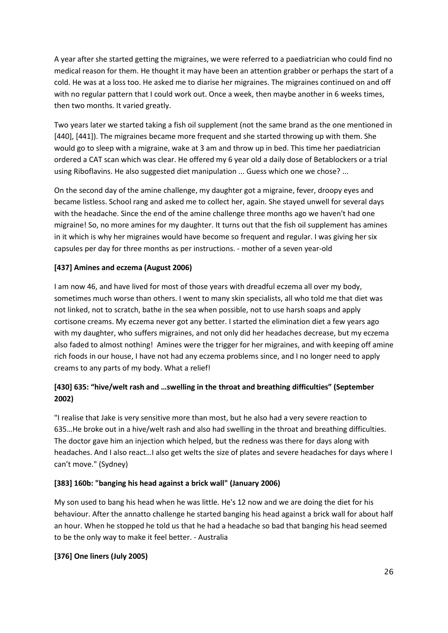A year after she started getting the migraines, we were referred to a paediatrician who could find no medical reason for them. He thought it may have been an attention grabber or perhaps the start of a cold. He was at a loss too. He asked me to diarise her migraines. The migraines continued on and off with no regular pattern that I could work out. Once a week, then maybe another in 6 weeks times, then two months. It varied greatly.

Two years later we started taking a fish oil supplement (not the same brand as the one mentioned in [440], [441]). The migraines became more frequent and she started throwing up with them. She would go to sleep with a migraine, wake at 3 am and throw up in bed. This time her paediatrician ordered a CAT scan which was clear. He offered my 6 year old a daily dose of Betablockers or a trial using Riboflavins. He also suggested diet manipulation ... Guess which one we chose? ...

On the second day of the amine challenge, my daughter got a migraine, fever, droopy eyes and became listless. School rang and asked me to collect her, again. She stayed unwell for several days with the headache. Since the end of the amine challenge three months ago we haven't had one migraine! So, no more amines for my daughter. It turns out that the fish oil supplement has amines in it which is why her migraines would have become so frequent and regular. I was giving her six capsules per day for three months as per instructions. - mother of a seven year-old

## **[437] Amines and eczema (August 2006)**

I am now 46, and have lived for most of those years with dreadful eczema all over my body, sometimes much worse than others. I went to many skin specialists, all who told me that diet was not linked, not to scratch, bathe in the sea when possible, not to use harsh soaps and apply cortisone creams. My eczema never got any better. I started the elimination diet a few years ago with my daughter, who suffers migraines, and not only did her headaches decrease, but my eczema also faded to almost nothing! Amines were the trigger for her migraines, and with keeping off amine rich foods in our house, I have not had any eczema problems since, and I no longer need to apply creams to any parts of my body. What a relief!

# **[430] 635: "hive/welt rash and …swelling in the throat and breathing difficulties" (September 2002)**

"I realise that Jake is very sensitive more than most, but he also had a very severe reaction to 635…He broke out in a hive/welt rash and also had swelling in the throat and breathing difficulties. The doctor gave him an injection which helped, but the redness was there for days along with headaches. And I also react…I also get welts the size of plates and severe headaches for days where I can't move." (Sydney)

#### **[383] 160b: "banging his head against a brick wall" (January 2006)**

My son used to bang his head when he was little. He's 12 now and we are doing the diet for his behaviour. After the annatto challenge he started banging his head against a brick wall for about half an hour. When he stopped he told us that he had a headache so bad that banging his head seemed to be the only way to make it feel better. - Australia

#### **[376] One liners (July 2005)**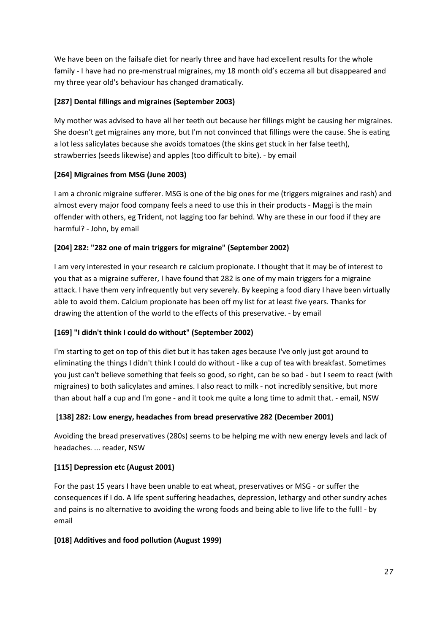We have been on the failsafe diet for nearly three and have had excellent results for the whole family - I have had no pre-menstrual migraines, my 18 month old's eczema all but disappeared and my three year old's behaviour has changed dramatically.

## **[287] Dental fillings and migraines (September 2003)**

My mother was advised to have all her teeth out because her fillings might be causing her migraines. She doesn't get migraines any more, but I'm not convinced that fillings were the cause. She is eating a lot less salicylates because she avoids tomatoes (the skins get stuck in her false teeth), strawberries (seeds likewise) and apples (too difficult to bite). - by email

## **[264] Migraines from MSG (June 2003)**

I am a chronic migraine sufferer. MSG is one of the big ones for me (triggers migraines and rash) and almost every major food company feels a need to use this in their products - Maggi is the main offender with others, eg Trident, not lagging too far behind. Why are these in our food if they are harmful? - John, by email

## **[204] 282: "282 one of main triggers for migraine" (September 2002)**

I am very interested in your research re calcium propionate. I thought that it may be of interest to you that as a migraine sufferer, I have found that 282 is one of my main triggers for a migraine attack. I have them very infrequently but very severely. By keeping a food diary I have been virtually able to avoid them. Calcium propionate has been off my list for at least five years. Thanks for drawing the attention of the world to the effects of this preservative. - by email

# **[169] "I didn't think I could do without" (September 2002)**

I'm starting to get on top of this diet but it has taken ages because I've only just got around to eliminating the things I didn't think I could do without - like a cup of tea with breakfast. Sometimes you just can't believe something that feels so good, so right, can be so bad - but I seem to react (with migraines) to both salicylates and amines. I also react to milk - not incredibly sensitive, but more than about half a cup and I'm gone - and it took me quite a long time to admit that. - email, NSW

# **[138] 282: Low energy, headaches from bread preservative 282 (December 2001)**

Avoiding the bread preservatives (280s) seems to be helping me with new energy levels and lack of headaches. ... reader, NSW

#### **[115] Depression etc (August 2001)**

For the past 15 years I have been unable to eat wheat, preservatives or MSG - or suffer the consequences if I do. A life spent suffering headaches, depression, lethargy and other sundry aches and pains is no alternative to avoiding the wrong foods and being able to live life to the full! - by email

#### **[018] Additives and food pollution (August 1999)**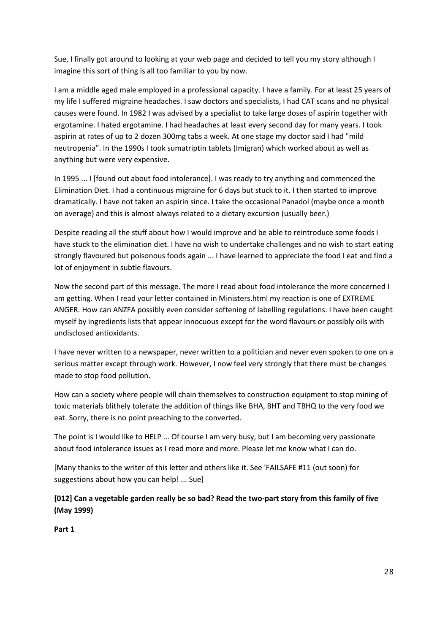Sue, I finally got around to looking at your web page and decided to tell you my story although I imagine this sort of thing is all too familiar to you by now.

I am a middle aged male employed in a professional capacity. I have a family. For at least 25 years of my life I suffered migraine headaches. I saw doctors and specialists, I had CAT scans and no physical causes were found. In 1982 I was advised by a specialist to take large doses of aspirin together with ergotamine. I hated ergotamine. I had headaches at least every second day for many years. I took aspirin at rates of up to 2 dozen 300mg tabs a week. At one stage my doctor said I had "mild neutropenia". In the 1990s I took sumatriptin tablets (Imigran) which worked about as well as anything but were very expensive.

In 1995 ... I [found out about food intolerance]. I was ready to try anything and commenced the Elimination Diet. I had a continuous migraine for 6 days but stuck to it. I then started to improve dramatically. I have not taken an aspirin since. I take the occasional Panadol (maybe once a month on average) and this is almost always related to a dietary excursion (usually beer.)

Despite reading all the stuff about how I would improve and be able to reintroduce some foods I have stuck to the elimination diet. I have no wish to undertake challenges and no wish to start eating strongly flavoured but poisonous foods again ... I have learned to appreciate the food I eat and find a lot of enjoyment in subtle flavours.

Now the second part of this message. The more I read about food intolerance the more concerned I am getting. When I read your letter contained in Ministers.html my reaction is one of EXTREME ANGER. How can ANZFA possibly even consider softening of labelling regulations. I have been caught myself by ingredients lists that appear innocuous except for the word flavours or possibly oils with undisclosed antioxidants.

I have never written to a newspaper, never written to a politician and never even spoken to one on a serious matter except through work. However, I now feel very strongly that there must be changes made to stop food pollution.

How can a society where people will chain themselves to construction equipment to stop mining of toxic materials blithely tolerate the addition of things like BHA, BHT and TBHQ to the very food we eat. Sorry, there is no point preaching to the converted.

The point is I would like to HELP ... Of course I am very busy, but I am becoming very passionate about food intolerance issues as I read more and more. Please let me know what I can do.

[Many thanks to the writer of this letter and others like it. See 'FAILSAFE #11 (out soon) for suggestions about how you can help! ... Sue]

# **[012] Can a vegetable garden really be so bad? Read the two-part story from this family of five (May 1999)**

**Part 1**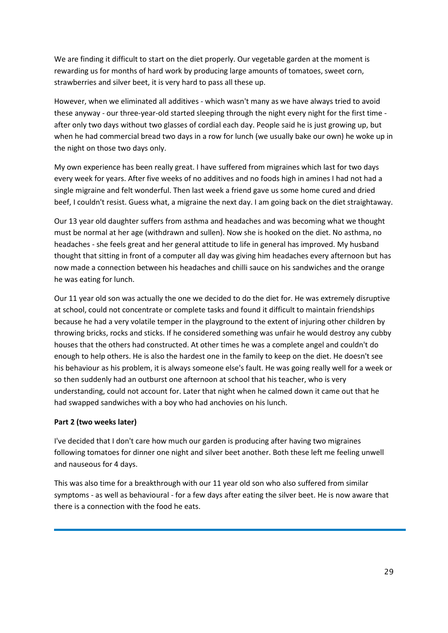We are finding it difficult to start on the diet properly. Our vegetable garden at the moment is rewarding us for months of hard work by producing large amounts of tomatoes, sweet corn, strawberries and silver beet, it is very hard to pass all these up.

However, when we eliminated all additives - which wasn't many as we have always tried to avoid these anyway - our three-year-old started sleeping through the night every night for the first time after only two days without two glasses of cordial each day. People said he is just growing up, but when he had commercial bread two days in a row for lunch (we usually bake our own) he woke up in the night on those two days only.

My own experience has been really great. I have suffered from migraines which last for two days every week for years. After five weeks of no additives and no foods high in amines I had not had a single migraine and felt wonderful. Then last week a friend gave us some home cured and dried beef, I couldn't resist. Guess what, a migraine the next day. I am going back on the diet straightaway.

Our 13 year old daughter suffers from asthma and headaches and was becoming what we thought must be normal at her age (withdrawn and sullen). Now she is hooked on the diet. No asthma, no headaches - she feels great and her general attitude to life in general has improved. My husband thought that sitting in front of a computer all day was giving him headaches every afternoon but has now made a connection between his headaches and chilli sauce on his sandwiches and the orange he was eating for lunch.

Our 11 year old son was actually the one we decided to do the diet for. He was extremely disruptive at school, could not concentrate or complete tasks and found it difficult to maintain friendships because he had a very volatile temper in the playground to the extent of injuring other children by throwing bricks, rocks and sticks. If he considered something was unfair he would destroy any cubby houses that the others had constructed. At other times he was a complete angel and couldn't do enough to help others. He is also the hardest one in the family to keep on the diet. He doesn't see his behaviour as his problem, it is always someone else's fault. He was going really well for a week or so then suddenly had an outburst one afternoon at school that his teacher, who is very understanding, could not account for. Later that night when he calmed down it came out that he had swapped sandwiches with a boy who had anchovies on his lunch.

#### **Part 2 (two weeks later)**

I've decided that I don't care how much our garden is producing after having two migraines following tomatoes for dinner one night and silver beet another. Both these left me feeling unwell and nauseous for 4 days.

This was also time for a breakthrough with our 11 year old son who also suffered from similar symptoms - as well as behavioural - for a few days after eating the silver beet. He is now aware that there is a connection with the food he eats.